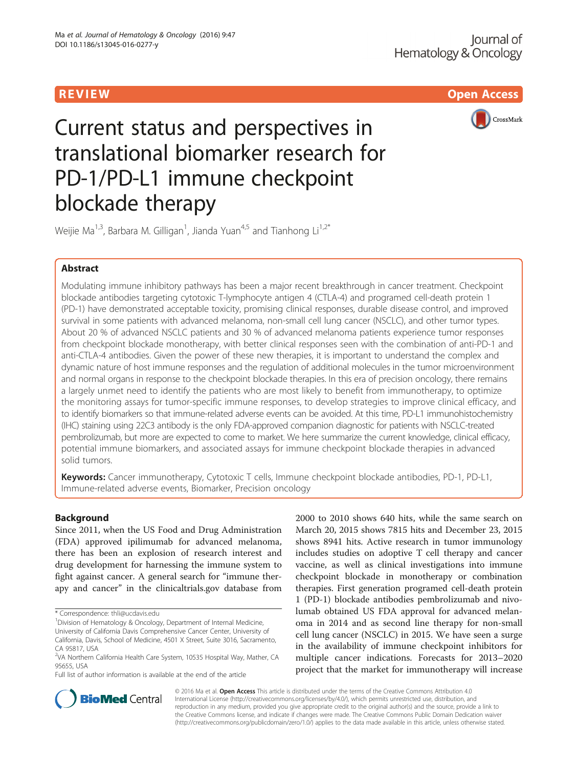**REVIEW ACCESS AND REVIEW AND REVIEW AND REVIEW ACCESS** 



# Current status and perspectives in translational biomarker research for PD-1/PD-L1 immune checkpoint blockade therapy

Weijie Ma<sup>1,3</sup>, Barbara M. Gilligan<sup>1</sup>, Jianda Yuan<sup>4,5</sup> and Tianhong Li<sup>1,2\*</sup>

# Abstract

Modulating immune inhibitory pathways has been a major recent breakthrough in cancer treatment. Checkpoint blockade antibodies targeting cytotoxic T-lymphocyte antigen 4 (CTLA-4) and programed cell-death protein 1 (PD-1) have demonstrated acceptable toxicity, promising clinical responses, durable disease control, and improved survival in some patients with advanced melanoma, non-small cell lung cancer (NSCLC), and other tumor types. About 20 % of advanced NSCLC patients and 30 % of advanced melanoma patients experience tumor responses from checkpoint blockade monotherapy, with better clinical responses seen with the combination of anti-PD-1 and anti-CTLA-4 antibodies. Given the power of these new therapies, it is important to understand the complex and dynamic nature of host immune responses and the regulation of additional molecules in the tumor microenvironment and normal organs in response to the checkpoint blockade therapies. In this era of precision oncology, there remains a largely unmet need to identify the patients who are most likely to benefit from immunotherapy, to optimize the monitoring assays for tumor-specific immune responses, to develop strategies to improve clinical efficacy, and to identify biomarkers so that immune-related adverse events can be avoided. At this time, PD-L1 immunohistochemistry (IHC) staining using 22C3 antibody is the only FDA-approved companion diagnostic for patients with NSCLC-treated pembrolizumab, but more are expected to come to market. We here summarize the current knowledge, clinical efficacy, potential immune biomarkers, and associated assays for immune checkpoint blockade therapies in advanced solid tumors.

Keywords: Cancer immunotherapy, Cytotoxic T cells, Immune checkpoint blockade antibodies, PD-1, PD-L1, Immune-related adverse events, Biomarker, Precision oncology

## Background

Since 2011, when the US Food and Drug Administration (FDA) approved ipilimumab for advanced melanoma, there has been an explosion of research interest and drug development for harnessing the immune system to fight against cancer. A general search for "immune therapy and cancer" in the clinicaltrials.gov database from

Full list of author information is available at the end of the article

2000 to 2010 shows 640 hits, while the same search on March 20, 2015 shows 7815 hits and December 23, 2015 shows 8941 hits. Active research in tumor immunology includes studies on adoptive T cell therapy and cancer vaccine, as well as clinical investigations into immune checkpoint blockade in monotherapy or combination therapies. First generation programed cell-death protein 1 (PD-1) blockade antibodies pembrolizumab and nivolumab obtained US FDA approval for advanced melanoma in 2014 and as second line therapy for non-small cell lung cancer (NSCLC) in 2015. We have seen a surge in the availability of immune checkpoint inhibitors for multiple cancer indications. Forecasts for 2013–2020 project that the market for immunotherapy will increase



© 2016 Ma et al. Open Access This article is distributed under the terms of the Creative Commons Attribution 4.0 International License [\(http://creativecommons.org/licenses/by/4.0/](http://creativecommons.org/licenses/by/4.0/)), which permits unrestricted use, distribution, and reproduction in any medium, provided you give appropriate credit to the original author(s) and the source, provide a link to the Creative Commons license, and indicate if changes were made. The Creative Commons Public Domain Dedication waiver [\(http://creativecommons.org/publicdomain/zero/1.0/](http://creativecommons.org/publicdomain/zero/1.0/)) applies to the data made available in this article, unless otherwise stated.

<sup>\*</sup> Correspondence: [thli@ucdavis.edu](mailto:thli@ucdavis.edu) <sup>1</sup>

<sup>&</sup>lt;sup>1</sup> Division of Hematology & Oncology, Department of Internal Medicine, University of California Davis Comprehensive Cancer Center, University of California, Davis, School of Medicine, 4501 X Street, Suite 3016, Sacramento, CA 95817, USA

<sup>&</sup>lt;sup>2</sup>VA Northern California Health Care System, 10535 Hospital Way, Mather, CA 95655, USA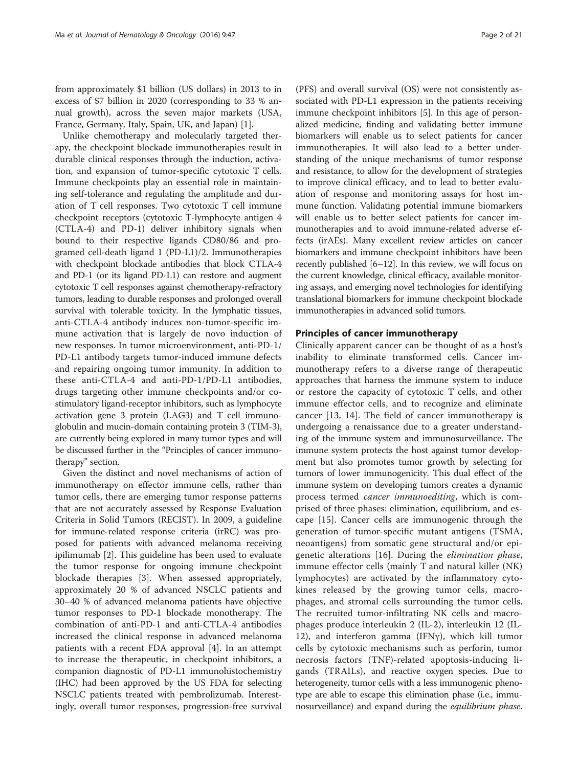from approximately \$1 billion (US dollars) in 2013 to in excess of \$7 billion in 2020 (corresponding to 33 % annual growth), across the seven major markets (USA, France, Germany, Italy, Spain, UK, and Japan) [\[1](#page-16-0)].

Unlike chemotherapy and molecularly targeted therapy, the checkpoint blockade immunotherapies result in durable clinical responses through the induction, activation, and expansion of tumor-specific cytotoxic T cells. Immune checkpoints play an essential role in maintaining self-tolerance and regulating the amplitude and duration of T cell responses. Two cytotoxic T cell immune checkpoint receptors (cytotoxic T-lymphocyte antigen 4 (CTLA-4) and PD-1) deliver inhibitory signals when bound to their respective ligands CD80/86 and programed cell-death ligand 1 (PD-L1)/2. Immunotherapies with checkpoint blockade antibodies that block CTLA-4 and PD-1 (or its ligand PD-L1) can restore and augment cytotoxic T cell responses against chemotherapy-refractory tumors, leading to durable responses and prolonged overall survival with tolerable toxicity. In the lymphatic tissues, anti-CTLA-4 antibody induces non-tumor-specific immune activation that is largely de novo induction of new responses. In tumor microenvironment, anti-PD-1/ PD-L1 antibody targets tumor-induced immune defects and repairing ongoing tumor immunity. In addition to these anti-CTLA-4 and anti-PD-1/PD-L1 antibodies, drugs targeting other immune checkpoints and/or costimulatory ligand-receptor inhibitors, such as lymphocyte activation gene 3 protein (LAG3) and T cell immunoglobulin and mucin-domain containing protein 3 (TIM-3), are currently being explored in many tumor types and will be discussed further in the "Principles of cancer immunotherapy" section.

Given the distinct and novel mechanisms of action of immunotherapy on effector immune cells, rather than tumor cells, there are emerging tumor response patterns that are not accurately assessed by Response Evaluation Criteria in Solid Tumors (RECIST). In 2009, a guideline for immune-related response criteria (irRC) was proposed for patients with advanced melanoma receiving ipilimumab [[2\]](#page-16-0). This guideline has been used to evaluate the tumor response for ongoing immune checkpoint blockade therapies [[3\]](#page-16-0). When assessed appropriately, approximately 20 % of advanced NSCLC patients and 30–40 % of advanced melanoma patients have objective tumor responses to PD-1 blockade monotherapy. The combination of anti-PD-1 and anti-CTLA-4 antibodies increased the clinical response in advanced melanoma patients with a recent FDA approval [\[4\]](#page-16-0). In an attempt to increase the therapeutic, in checkpoint inhibitors, a companion diagnostic of PD-L1 immunohistochemistry (IHC) had been approved by the US FDA for selecting NSCLC patients treated with pembrolizumab. Interestingly, overall tumor responses, progression-free survival

(PFS) and overall survival (OS) were not consistently associated with PD-L1 expression in the patients receiving immune checkpoint inhibitors [\[5\]](#page-16-0). In this age of personalized medicine, finding and validating better immune biomarkers will enable us to select patients for cancer immunotherapies. It will also lead to a better understanding of the unique mechanisms of tumor response and resistance, to allow for the development of strategies to improve clinical efficacy, and to lead to better evaluation of response and monitoring assays for host immune function. Validating potential immune biomarkers will enable us to better select patients for cancer immunotherapies and to avoid immune-related adverse effects (irAEs). Many excellent review articles on cancer biomarkers and immune checkpoint inhibitors have been recently published [\[6](#page-16-0)–[12\]](#page-16-0). In this review, we will focus on the current knowledge, clinical efficacy, available monitoring assays, and emerging novel technologies for identifying translational biomarkers for immune checkpoint blockade immunotherapies in advanced solid tumors.

### Principles of cancer immunotherapy

Clinically apparent cancer can be thought of as a host's inability to eliminate transformed cells. Cancer immunotherapy refers to a diverse range of therapeutic approaches that harness the immune system to induce or restore the capacity of cytotoxic T cells, and other immune effector cells, and to recognize and eliminate cancer [\[13](#page-16-0), [14\]](#page-16-0). The field of cancer immunotherapy is undergoing a renaissance due to a greater understanding of the immune system and immunosurveillance. The immune system protects the host against tumor development but also promotes tumor growth by selecting for tumors of lower immunogenicity. This dual effect of the immune system on developing tumors creates a dynamic process termed cancer immunoediting, which is comprised of three phases: elimination, equilibrium, and escape [\[15](#page-16-0)]. Cancer cells are immunogenic through the generation of tumor-specific mutant antigens (TSMA, neoantigens) from somatic gene structural and/or epigenetic alterations [[16\]](#page-16-0). During the elimination phase, immune effector cells (mainly T and natural killer (NK) lymphocytes) are activated by the inflammatory cytokines released by the growing tumor cells, macrophages, and stromal cells surrounding the tumor cells. The recruited tumor-infiltrating NK cells and macrophages produce interleukin 2 (IL-2), interleukin 12 (IL-12), and interferon gamma (IFNγ), which kill tumor cells by cytotoxic mechanisms such as perforin, tumor necrosis factors (TNF)-related apoptosis-inducing ligands (TRAILs), and reactive oxygen species. Due to heterogeneity, tumor cells with a less immunogenic phenotype are able to escape this elimination phase (i.e., immunosurveillance) and expand during the *equilibrium phase*.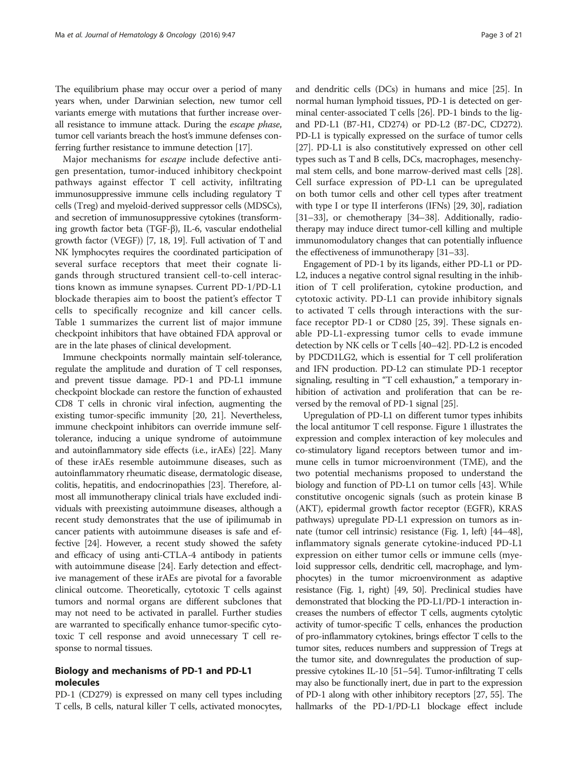The equilibrium phase may occur over a period of many years when, under Darwinian selection, new tumor cell variants emerge with mutations that further increase overall resistance to immune attack. During the escape phase, tumor cell variants breach the host's immune defenses conferring further resistance to immune detection [[17](#page-16-0)].

Major mechanisms for escape include defective antigen presentation, tumor-induced inhibitory checkpoint pathways against effector T cell activity, infiltrating immunosuppressive immune cells including regulatory T cells (Treg) and myeloid-derived suppressor cells (MDSCs), and secretion of immunosuppressive cytokines (transforming growth factor beta (TGF-β), IL-6, vascular endothelial growth factor (VEGF)) [[7](#page-16-0), [18](#page-17-0), [19](#page-17-0)]. Full activation of T and NK lymphocytes requires the coordinated participation of several surface receptors that meet their cognate ligands through structured transient cell-to-cell interactions known as immune synapses. Current PD-1/PD-L1 blockade therapies aim to boost the patient's effector T cells to specifically recognize and kill cancer cells. Table [1](#page-3-0) summarizes the current list of major immune checkpoint inhibitors that have obtained FDA approval or are in the late phases of clinical development.

Immune checkpoints normally maintain self-tolerance, regulate the amplitude and duration of T cell responses, and prevent tissue damage. PD-1 and PD-L1 immune checkpoint blockade can restore the function of exhausted CD8 T cells in chronic viral infection, augmenting the existing tumor-specific immunity [\[20](#page-17-0), [21\]](#page-17-0). Nevertheless, immune checkpoint inhibitors can override immune selftolerance, inducing a unique syndrome of autoimmune and autoinflammatory side effects (i.e., irAEs) [\[22\]](#page-17-0). Many of these irAEs resemble autoimmune diseases, such as autoinflammatory rheumatic disease, dermatologic disease, colitis, hepatitis, and endocrinopathies [[23](#page-17-0)]. Therefore, almost all immunotherapy clinical trials have excluded individuals with preexisting autoimmune diseases, although a recent study demonstrates that the use of ipilimumab in cancer patients with autoimmune diseases is safe and effective [\[24\]](#page-17-0). However, a recent study showed the safety and efficacy of using anti-CTLA-4 antibody in patients with autoimmune disease [\[24\]](#page-17-0). Early detection and effective management of these irAEs are pivotal for a favorable clinical outcome. Theoretically, cytotoxic T cells against tumors and normal organs are different subclones that may not need to be activated in parallel. Further studies are warranted to specifically enhance tumor-specific cytotoxic T cell response and avoid unnecessary T cell response to normal tissues.

# Biology and mechanisms of PD-1 and PD-L1 molecules

PD-1 (CD279) is expressed on many cell types including T cells, B cells, natural killer T cells, activated monocytes, and dendritic cells (DCs) in humans and mice [[25](#page-17-0)]. In normal human lymphoid tissues, PD-1 is detected on germinal center-associated T cells [\[26\]](#page-17-0). PD-1 binds to the ligand PD-L1 (B7-H1, CD274) or PD-L2 (B7-DC, CD272). PD-L1 is typically expressed on the surface of tumor cells [[27](#page-17-0)]. PD-L1 is also constitutively expressed on other cell types such as T and B cells, DCs, macrophages, mesenchymal stem cells, and bone marrow-derived mast cells [[28](#page-17-0)]. Cell surface expression of PD-L1 can be upregulated on both tumor cells and other cell types after treatment with type I or type II interferons (IFNs) [\[29, 30\]](#page-17-0), radiation [[31](#page-17-0)–[33\]](#page-17-0), or chemotherapy [[34](#page-17-0)–[38\]](#page-17-0). Additionally, radiotherapy may induce direct tumor-cell killing and multiple immunomodulatory changes that can potentially influence the effectiveness of immunotherapy [[31](#page-17-0)–[33\]](#page-17-0).

Engagement of PD-1 by its ligands, either PD-L1 or PD-L2, induces a negative control signal resulting in the inhibition of T cell proliferation, cytokine production, and cytotoxic activity. PD-L1 can provide inhibitory signals to activated T cells through interactions with the surface receptor PD-1 or CD80 [[25, 39\]](#page-17-0). These signals enable PD-L1-expressing tumor cells to evade immune detection by NK cells or T cells [[40](#page-17-0)–[42\]](#page-17-0). PD-L2 is encoded by PDCD1LG2, which is essential for T cell proliferation and IFN production. PD-L2 can stimulate PD-1 receptor signaling, resulting in "T cell exhaustion," a temporary inhibition of activation and proliferation that can be reversed by the removal of PD-1 signal [\[25](#page-17-0)].

Upregulation of PD-L1 on different tumor types inhibits the local antitumor T cell response. Figure [1](#page-4-0) illustrates the expression and complex interaction of key molecules and co-stimulatory ligand receptors between tumor and immune cells in tumor microenvironment (TME), and the two potential mechanisms proposed to understand the biology and function of PD-L1 on tumor cells [\[43\]](#page-17-0). While constitutive oncogenic signals (such as protein kinase B (AKT), epidermal growth factor receptor (EGFR), KRAS pathways) upregulate PD-L1 expression on tumors as innate (tumor cell intrinsic) resistance (Fig. [1,](#page-4-0) left) [\[44](#page-17-0)–[48](#page-17-0)], inflammatory signals generate cytokine-induced PD-L1 expression on either tumor cells or immune cells (myeloid suppressor cells, dendritic cell, macrophage, and lymphocytes) in the tumor microenvironment as adaptive resistance (Fig. [1](#page-4-0), right) [\[49, 50\]](#page-17-0). Preclinical studies have demonstrated that blocking the PD-L1/PD-1 interaction increases the numbers of effector T cells, augments cytolytic activity of tumor-specific T cells, enhances the production of pro-inflammatory cytokines, brings effector T cells to the tumor sites, reduces numbers and suppression of Tregs at the tumor site, and downregulates the production of suppressive cytokines IL-10 [[51](#page-17-0)–[54](#page-17-0)]. Tumor-infiltrating T cells may also be functionally inert, due in part to the expression of PD-1 along with other inhibitory receptors [[27](#page-17-0), [55\]](#page-17-0). The hallmarks of the PD-1/PD-L1 blockage effect include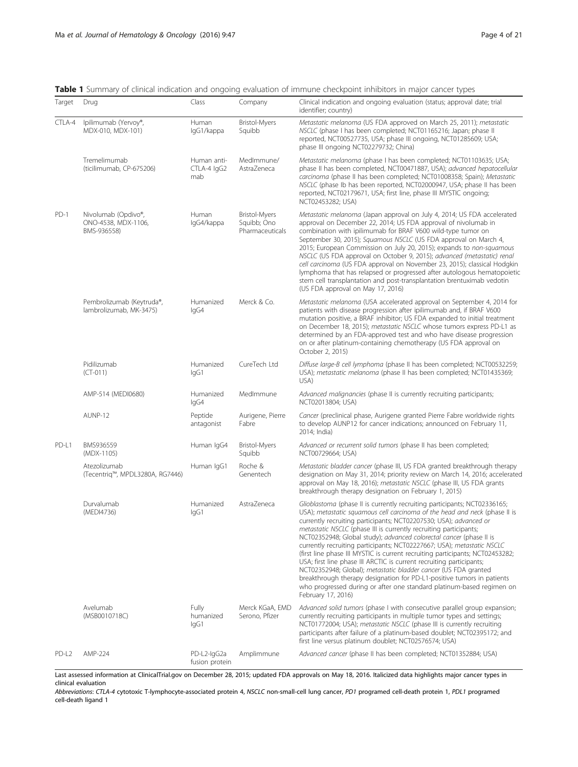<span id="page-3-0"></span>Table 1 Summary of clinical indication and ongoing evaluation of immune checkpoint inhibitors in major cancer types

| Target            | Drug                                                      | Class                             | Company                                                | Clinical indication and ongoing evaluation (status; approval date; trial<br>identifier; country)                                                                                                                                                                                                                                                                                                                                                                                                                                                                                                                                                                                                                                                                                                                                                        |
|-------------------|-----------------------------------------------------------|-----------------------------------|--------------------------------------------------------|---------------------------------------------------------------------------------------------------------------------------------------------------------------------------------------------------------------------------------------------------------------------------------------------------------------------------------------------------------------------------------------------------------------------------------------------------------------------------------------------------------------------------------------------------------------------------------------------------------------------------------------------------------------------------------------------------------------------------------------------------------------------------------------------------------------------------------------------------------|
| CTLA-4            | Ipilimumab (Yervoy®,<br>MDX-010, MDX-101)                 | Human<br>lgG1/kappa               | <b>Bristol-Myers</b><br>Squibb                         | Metastatic melanoma (US FDA approved on March 25, 2011); metastatic<br>NSCLC (phase I has been completed; NCT01165216; Japan; phase II<br>reported, NCT00527735, USA; phase III ongoing, NCT01285609; USA;<br>phase III ongoing NCT02279732; China)                                                                                                                                                                                                                                                                                                                                                                                                                                                                                                                                                                                                     |
|                   | Tremelimumab<br>(ticilimumab, CP-675206)                  | Human anti-<br>CTLA-4 IgG2<br>mab | MedImmune/<br>AstraZeneca                              | Metastatic melanoma (phase I has been completed; NCT01103635; USA;<br>phase II has been completed, NCT00471887, USA); advanced hepatocellular<br>carcinoma (phase II has been completed; NCT01008358; Spain); Metastatic<br>NSCLC (phase Ib has been reported, NCT02000947, USA; phase II has been<br>reported, NCT02179671, USA; first line, phase III MYSTIC ongoing;<br>NCT02453282; USA)                                                                                                                                                                                                                                                                                                                                                                                                                                                            |
| $PD-1$            | Nivolumab (Opdivo®,<br>ONO-4538, MDX-1106,<br>BMS-936558) | Human<br>lgG4/kappa               | <b>Bristol-Myers</b><br>Squibb; Ono<br>Pharmaceuticals | Metastatic melanoma (Japan approval on July 4, 2014; US FDA accelerated<br>approval on December 22, 2014; US FDA approval of nivolumab in<br>combination with ipilimumab for BRAF V600 wild-type tumor on<br>September 30, 2015); Squamous NSCLC (US FDA approval on March 4,<br>2015; European Commission on July 20, 2015); expands to non-squamous<br>NSCLC (US FDA approval on October 9, 2015); advanced (metastatic) renal<br>cell carcinoma (US FDA approval on November 23, 2015); classical Hodgkin<br>lymphoma that has relapsed or progressed after autologous hematopoietic<br>stem cell transplantation and post-transplantation brentuximab vedotin<br>(US FDA approval on May 17, 2016)                                                                                                                                                  |
|                   | Pembrolizumab (Keytruda®,<br>lambrolizumab, MK-3475)      | Humanized<br>lgG4                 | Merck & Co.                                            | Metastatic melanoma (USA accelerated approval on September 4, 2014 for<br>patients with disease progression after ipilimumab and, if BRAF V600<br>mutation positive, a BRAF inhibitor; US FDA expanded to initial treatment<br>on December 18, 2015); metastatic NSCLC whose tumors express PD-L1 as<br>determined by an FDA-approved test and who have disease progression<br>on or after platinum-containing chemotherapy (US FDA approval on<br>October 2, 2015)                                                                                                                                                                                                                                                                                                                                                                                     |
|                   | Pidilizumab<br>$(CT-011)$                                 | Humanized<br>lgG1                 | CureTech Ltd                                           | Diffuse large-B cell lymphoma (phase II has been completed; NCT00532259;<br>USA); metastatic melanoma (phase II has been completed; NCT01435369;<br>USA)                                                                                                                                                                                                                                                                                                                                                                                                                                                                                                                                                                                                                                                                                                |
|                   | AMP-514 (MEDI0680)                                        | Humanized<br>lgG4                 | MedImmune                                              | Advanced malignancies (phase II is currently recruiting participants;<br>NCT02013804; USA)                                                                                                                                                                                                                                                                                                                                                                                                                                                                                                                                                                                                                                                                                                                                                              |
|                   | AUNP-12                                                   | Peptide<br>antagonist             | Aurigene, Pierre<br>Fabre                              | Cancer (preclinical phase, Aurigene granted Pierre Fabre worldwide rights<br>to develop AUNP12 for cancer indications; announced on February 11,<br>2014; India)                                                                                                                                                                                                                                                                                                                                                                                                                                                                                                                                                                                                                                                                                        |
| PD-L1             | BMS936559<br>(MDX-1105)                                   | Human IgG4                        | <b>Bristol-Myers</b><br>Squibb                         | Advanced or recurrent solid tumors (phase II has been completed;<br>NCT00729664; USA)                                                                                                                                                                                                                                                                                                                                                                                                                                                                                                                                                                                                                                                                                                                                                                   |
|                   | Atezolizumab<br>(Tecentrig™, MPDL3280A, RG7446)           | Human IgG1                        | Roche &<br>Genentech                                   | Metastatic bladder cancer (phase III, US FDA granted breakthrough therapy<br>designation on May 31, 2014; priority review on March 14, 2016; accelerated<br>approval on May 18, 2016); metastatic NSCLC (phase III, US FDA grants<br>breakthrough therapy designation on February 1, 2015)                                                                                                                                                                                                                                                                                                                                                                                                                                                                                                                                                              |
|                   | Durvalumab<br>(MEDI4736)                                  | Humanized<br>lgG1                 | AstraZeneca                                            | Glioblastoma (phase II is currently recruiting participants; NCT02336165;<br>USA); metastatic squamous cell carcinoma of the head and neck (phase II is<br>currently recruiting participants; NCT02207530; USA); advanced or<br>metastatic NSCLC (phase III is currently recruiting participants;<br>NCT02352948; Global study); advanced colorectal cancer (phase II is<br>currently recruiting participants; NCT02227667; USA); metastatic NSCLC<br>(first line phase III MYSTIC is current recruiting participants; NCT02453282;<br>USA; first line phase III ARCTIC is current recruiting participants;<br>NCT02352948; Global); metastatic bladder cancer (US FDA granted<br>breakthrough therapy designation for PD-L1-positive tumors in patients<br>who progressed during or after one standard platinum-based regimen on<br>February 17, 2016) |
|                   | Avelumab<br>(MSB0010718C)                                 | Fully<br>humanized<br>lgG1        | Merck KGaA, EMD<br>Serono, Pfizer                      | Advanced solid tumors (phase I with consecutive parallel group expansion;<br>currently recruiting participants in multiple tumor types and settings;<br>NCT01772004; USA); metastatic NSCLC (phase III is currently recruiting<br>participants after failure of a platinum-based doublet; NCT02395172; and<br>first line versus platinum doublet; NCT02576574; USA)                                                                                                                                                                                                                                                                                                                                                                                                                                                                                     |
| PD-L <sub>2</sub> | AMP-224                                                   | PD-L2-IgG2a<br>fusion protein     | Amplimmune                                             | Advanced cancer (phase II has been completed; NCT01352884; USA)                                                                                                                                                                                                                                                                                                                                                                                                                                                                                                                                                                                                                                                                                                                                                                                         |

Last assessed information at ClinicalTrial.gov on December 28, 2015; updated FDA approvals on May 18, 2016. Italicized data highlights major cancer types in clinical evaluation

Abbreviations: CTLA-4 cytotoxic T-lymphocyte-associated protein 4, NSCLC non-small-cell lung cancer, PD1 programed cell-death protein 1, PDL1 programed cell-death ligand 1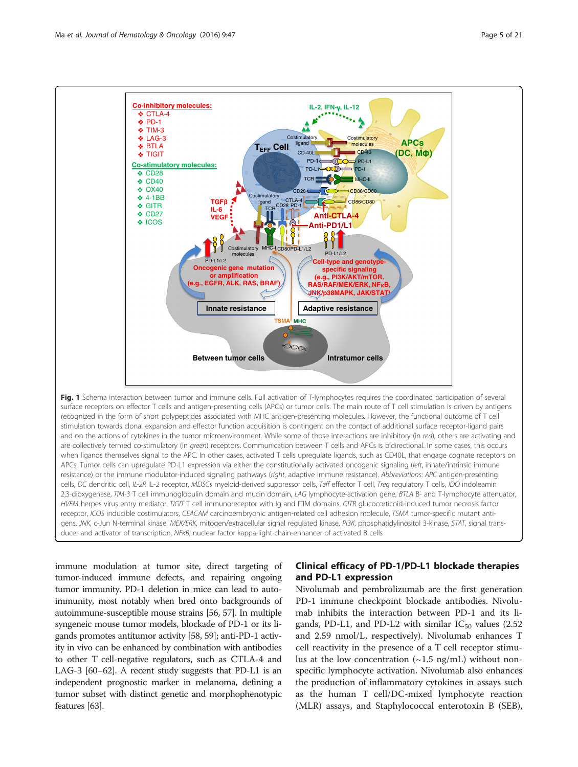<span id="page-4-0"></span>

surface receptors on effector T cells and antigen-presenting cells (APCs) or tumor cells. The main route of T cell stimulation is driven by antigens recognized in the form of short polypeptides associated with MHC antigen-presenting molecules. However, the functional outcome of T cell stimulation towards clonal expansion and effector function acquisition is contingent on the contact of additional surface receptor-ligand pairs and on the actions of cytokines in the tumor microenvironment. While some of those interactions are inhibitory (in red), others are activating and are collectively termed co-stimulatory (in green) receptors. Communication between T cells and APCs is bidirectional. In some cases, this occurs when ligands themselves signal to the APC. In other cases, activated T cells upregulate ligands, such as CD40L, that engage cognate receptors on APCs. Tumor cells can upregulate PD-L1 expression via either the constitutionally activated oncogenic signaling (left, innate/intrinsic immune resistance) or the immune modulator-induced signaling pathways (right, adaptive immune resistance). Abbreviations: APC antigen-presenting cells, DC dendritic cell, IL-2R IL-2 receptor, MDSCs myeloid-derived suppressor cells, Teff effector T cell, Treg regulatory T cells, IDO indoleamin 2,3-dioxygenase, TIM-3 T cell immunoglobulin domain and mucin domain, LAG lymphocyte-activation gene, BTLA B- and T-lymphocyte attenuator, HVEM herpes virus entry mediator, TIGIT T cell immunoreceptor with Ig and ITIM domains, GITR glucocorticoid-induced tumor necrosis factor receptor, ICOS inducible costimulators, CEACAM carcinoembryonic antigen-related cell adhesion molecule, TSMA tumor-specific mutant antigens, JNK, c-Jun N-terminal kinase, MEK/ERK, mitogen/extracellular signal regulated kinase, PI3K, phosphatidylinositol 3-kinase, STAT, signal transducer and activator of transcription, NFKB, nuclear factor kappa-light-chain-enhancer of activated B cells

immune modulation at tumor site, direct targeting of tumor-induced immune defects, and repairing ongoing tumor immunity. PD-1 deletion in mice can lead to autoimmunity, most notably when bred onto backgrounds of autoimmune-susceptible mouse strains [\[56, 57](#page-17-0)]. In multiple syngeneic mouse tumor models, blockade of PD-1 or its ligands promotes antitumor activity [[58](#page-17-0), [59](#page-17-0)]; anti-PD-1 activity in vivo can be enhanced by combination with antibodies to other T cell-negative regulators, such as CTLA-4 and LAG-3 [\[60](#page-17-0)–[62](#page-17-0)]. A recent study suggests that PD-L1 is an independent prognostic marker in melanoma, defining a tumor subset with distinct genetic and morphophenotypic features [[63](#page-18-0)].

# Clinical efficacy of PD-1/PD-L1 blockade therapies and PD-L1 expression

Nivolumab and pembrolizumab are the first generation PD-1 immune checkpoint blockade antibodies. Nivolumab inhibits the interaction between PD-1 and its ligands, PD-L1, and PD-L2 with similar  $IC_{50}$  values (2.52 and 2.59 nmol/L, respectively). Nivolumab enhances T cell reactivity in the presence of a T cell receptor stimulus at the low concentration  $(\sim 1.5 \text{ ng/mL})$  without nonspecific lymphocyte activation. Nivolumab also enhances the production of inflammatory cytokines in assays such as the human T cell/DC-mixed lymphocyte reaction (MLR) assays, and Staphylococcal enterotoxin B (SEB),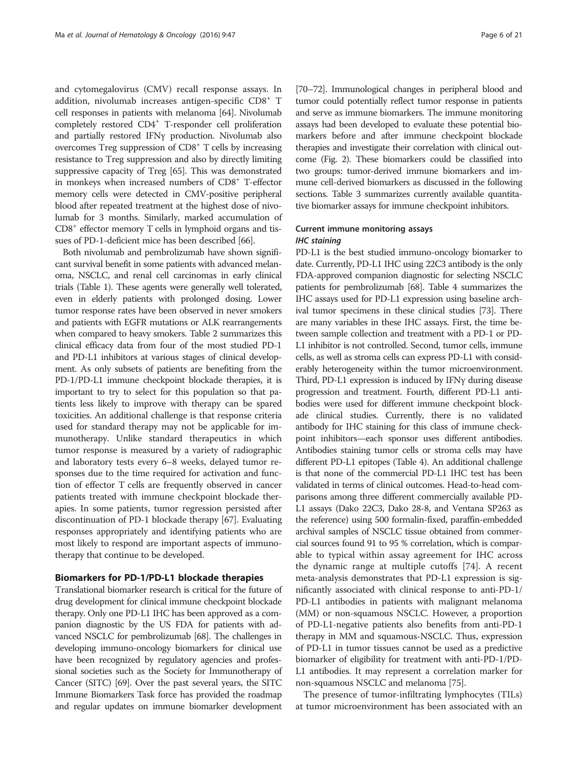and cytomegalovirus (CMV) recall response assays. In addition, nivolumab increases antigen-specific CD8<sup>+</sup> T cell responses in patients with melanoma [[64](#page-18-0)]. Nivolumab completely restored CD4+ T-responder cell proliferation and partially restored IFNγ production. Nivolumab also overcomes Treg suppression of CD8+ T cells by increasing resistance to Treg suppression and also by directly limiting suppressive capacity of Treg [\[65\]](#page-18-0). This was demonstrated in monkeys when increased numbers of CD8+ T-effector memory cells were detected in CMV-positive peripheral blood after repeated treatment at the highest dose of nivolumab for 3 months. Similarly, marked accumulation of  $CD8<sup>+</sup>$  effector memory T cells in lymphoid organs and tissues of PD-1-deficient mice has been described [\[66\]](#page-18-0).

Both nivolumab and pembrolizumab have shown significant survival benefit in some patients with advanced melanoma, NSCLC, and renal cell carcinomas in early clinical trials (Table [1](#page-3-0)). These agents were generally well tolerated, even in elderly patients with prolonged dosing. Lower tumor response rates have been observed in never smokers and patients with EGFR mutations or ALK rearrangements when compared to heavy smokers. Table [2](#page-6-0) summarizes this clinical efficacy data from four of the most studied PD-1 and PD-L1 inhibitors at various stages of clinical development. As only subsets of patients are benefiting from the PD-1/PD-L1 immune checkpoint blockade therapies, it is important to try to select for this population so that patients less likely to improve with therapy can be spared toxicities. An additional challenge is that response criteria used for standard therapy may not be applicable for immunotherapy. Unlike standard therapeutics in which tumor response is measured by a variety of radiographic and laboratory tests every 6–8 weeks, delayed tumor responses due to the time required for activation and function of effector T cells are frequently observed in cancer patients treated with immune checkpoint blockade therapies. In some patients, tumor regression persisted after discontinuation of PD-1 blockade therapy [\[67\]](#page-18-0). Evaluating responses appropriately and identifying patients who are most likely to respond are important aspects of immunotherapy that continue to be developed.

#### Biomarkers for PD-1/PD-L1 blockade therapies

Translational biomarker research is critical for the future of drug development for clinical immune checkpoint blockade therapy. Only one PD-L1 IHC has been approved as a companion diagnostic by the US FDA for patients with advanced NSCLC for pembrolizumab [\[68](#page-18-0)]. The challenges in developing immuno-oncology biomarkers for clinical use have been recognized by regulatory agencies and professional societies such as the Society for Immunotherapy of Cancer (SITC) [\[69\]](#page-18-0). Over the past several years, the SITC Immune Biomarkers Task force has provided the roadmap and regular updates on immune biomarker development

[[70](#page-18-0)–[72](#page-18-0)]. Immunological changes in peripheral blood and tumor could potentially reflect tumor response in patients and serve as immune biomarkers. The immune monitoring assays had been developed to evaluate these potential biomarkers before and after immune checkpoint blockade therapies and investigate their correlation with clinical outcome (Fig. [2\)](#page-11-0). These biomarkers could be classified into two groups: tumor-derived immune biomarkers and immune cell-derived biomarkers as discussed in the following sections. Table [3](#page-12-0) summarizes currently available quantitative biomarker assays for immune checkpoint inhibitors.

### Current immune monitoring assays IHC staining

PD-L1 is the best studied immuno-oncology biomarker to date. Currently, PD-L1 IHC using 22C3 antibody is the only FDA-approved companion diagnostic for selecting NSCLC patients for pembrolizumab [\[68\]](#page-18-0). Table [4](#page-13-0) summarizes the IHC assays used for PD-L1 expression using baseline archival tumor specimens in these clinical studies [[73](#page-18-0)]. There are many variables in these IHC assays. First, the time between sample collection and treatment with a PD-1 or PD-L1 inhibitor is not controlled. Second, tumor cells, immune cells, as well as stroma cells can express PD-L1 with considerably heterogeneity within the tumor microenvironment. Third, PD-L1 expression is induced by IFNγ during disease progression and treatment. Fourth, different PD-L1 antibodies were used for different immune checkpoint blockade clinical studies. Currently, there is no validated antibody for IHC staining for this class of immune checkpoint inhibitors—each sponsor uses different antibodies. Antibodies staining tumor cells or stroma cells may have different PD-L1 epitopes (Table [4\)](#page-13-0). An additional challenge is that none of the commercial PD-L1 IHC test has been validated in terms of clinical outcomes. Head-to-head comparisons among three different commercially available PD-L1 assays (Dako 22C3, Dako 28-8, and Ventana SP263 as the reference) using 500 formalin-fixed, paraffin-embedded archival samples of NSCLC tissue obtained from commercial sources found 91 to 95 % correlation, which is comparable to typical within assay agreement for IHC across the dynamic range at multiple cutoffs [[74\]](#page-18-0). A recent meta-analysis demonstrates that PD-L1 expression is significantly associated with clinical response to anti-PD-1/ PD-L1 antibodies in patients with malignant melanoma (MM) or non-squamous NSCLC. However, a proportion of PD-L1-negative patients also benefits from anti-PD-1 therapy in MM and squamous-NSCLC. Thus, expression of PD-L1 in tumor tissues cannot be used as a predictive biomarker of eligibility for treatment with anti-PD-1/PD-L1 antibodies. It may represent a correlation marker for non-squamous NSCLC and melanoma [[75](#page-18-0)].

The presence of tumor-infiltrating lymphocytes (TILs) at tumor microenvironment has been associated with an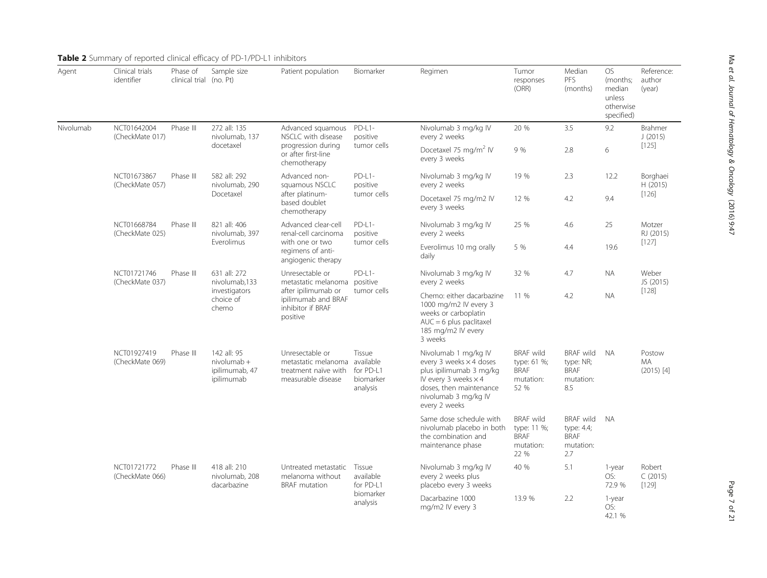| Agent     | Clinical trials<br>identifier  | Phase of<br>clinical trial (no. Pt) | Sample size                                                          | Patient population                                                                                                             | Biomarker                                                 | Regimen                                                                                                                                                                       | Tumor<br>responses<br>(ORR)                                         | Median<br>PFS<br>(months)                                         | <b>OS</b><br>(months;<br>median<br>unless<br>otherwise<br>specified) | Reference:<br>author<br>(year)      |  |
|-----------|--------------------------------|-------------------------------------|----------------------------------------------------------------------|--------------------------------------------------------------------------------------------------------------------------------|-----------------------------------------------------------|-------------------------------------------------------------------------------------------------------------------------------------------------------------------------------|---------------------------------------------------------------------|-------------------------------------------------------------------|----------------------------------------------------------------------|-------------------------------------|--|
| Nivolumab | NCT01642004<br>(CheckMate 017) | Phase III                           | 272 all: 135<br>nivolumab, 137                                       | Advanced squamous<br>NSCLC with disease                                                                                        | $PD-L1-$<br>positive<br>tumor cells                       | Nivolumab 3 mg/kg IV<br>every 2 weeks                                                                                                                                         | 20 %                                                                | 3.5                                                               | 9.2                                                                  | Brahmer<br>J(2015)                  |  |
|           |                                |                                     | docetaxel                                                            | progression during<br>or after first-line<br>chemotherapy                                                                      |                                                           | Docetaxel 75 mg/m <sup>2</sup> IV<br>every 3 weeks                                                                                                                            | 9 %                                                                 | 2.8                                                               | 6                                                                    | [125]                               |  |
|           | NCT01673867<br>(CheckMate 057) | Phase III                           | 582 all: 292<br>nivolumab, 290<br>Docetaxel                          | Advanced non-<br>squamous NSCLC                                                                                                | $PD-L1-$<br>positive                                      | Nivolumab 3 mg/kg IV<br>every 2 weeks                                                                                                                                         | 19 %                                                                | 2.3                                                               | 12.2                                                                 | Borghaei<br>H(2015)<br>$[126]$      |  |
|           |                                |                                     |                                                                      | after platinum-<br>based doublet<br>chemotherapy                                                                               | tumor cells                                               | Docetaxel 75 mg/m2 IV<br>every 3 weeks                                                                                                                                        | 12 %                                                                | 4.2                                                               | 9.4                                                                  |                                     |  |
|           | NCT01668784<br>(CheckMate 025) | Phase III                           | 821 all: 406<br>nivolumab, 397<br>Everolimus                         | Advanced clear-cell<br>renal-cell carcinoma<br>with one or two<br>regimens of anti-<br>angiogenic therapy                      | $PD-L1-$<br>positive<br>tumor cells                       | Nivolumab 3 mg/kg IV<br>every 2 weeks                                                                                                                                         | 25 %                                                                | 4.6                                                               | 25                                                                   | Motzer<br>RJ (2015)                 |  |
|           |                                |                                     |                                                                      |                                                                                                                                |                                                           | Everolimus 10 mg orally<br>daily                                                                                                                                              | 5 %                                                                 | 4.4                                                               | 19.6                                                                 | [127]                               |  |
|           | NCT01721746<br>(CheckMate 037) | Phase III                           | 631 all: 272<br>nivolumab,133<br>investigators<br>choice of<br>chemo | Unresectable or<br>metastatic melanoma positive<br>after ipilimumab or<br>ipilimumab and BRAF<br>inhibitor if BRAF<br>positive | $PD-L1-$<br>tumor cells                                   | Nivolumab 3 mg/kg IV<br>every 2 weeks                                                                                                                                         | 32 %                                                                | 4.7                                                               | <b>NA</b>                                                            | Weber<br>JS (2015)                  |  |
|           |                                |                                     |                                                                      |                                                                                                                                |                                                           | Chemo: either dacarbazine<br>1000 mg/m2 IV every 3<br>weeks or carboplatin<br>$AUC = 6$ plus paclitaxel<br>185 mg/m2 IV every<br>3 weeks                                      | 11 %                                                                | 4.2                                                               | <b>NA</b>                                                            | $[128]$                             |  |
|           | NCT01927419<br>(CheckMate 069) | Phase III                           | 142 all: 95<br>$nivolumab +$<br>ipilimumab, 47<br>ipilimumab         | Unresectable or<br>metastatic melanoma<br>treatment naïve with<br>measurable disease                                           | Tissue<br>available<br>for PD-L1<br>biomarker<br>analysis | Nivolumab 1 mg/kg IV<br>every 3 weeks × 4 doses<br>plus ipilimumab 3 mg/kg<br>IV every 3 weeks $\times$ 4<br>doses, then maintenance<br>nivolumab 3 mg/kg IV<br>every 2 weeks | <b>BRAF</b> wild<br>type: 61 %;<br><b>BRAF</b><br>mutation:<br>52 % | <b>BRAF</b> wild<br>type: NR;<br><b>BRAF</b><br>mutation:<br>8.5  | <b>NA</b>                                                            | Postow<br><b>MA</b><br>$(2015)$ [4] |  |
|           |                                |                                     |                                                                      |                                                                                                                                |                                                           | Same dose schedule with<br>nivolumab placebo in both<br>the combination and<br>maintenance phase                                                                              | <b>BRAF</b> wild<br>type: 11 %;<br><b>BRAF</b><br>mutation:<br>22 % | <b>BRAF</b> wild<br>type: 4.4;<br><b>BRAF</b><br>mutation:<br>2.7 | <b>NA</b>                                                            |                                     |  |
|           | NCT01721772<br>(CheckMate 066) | Phase III                           | 418 all: 210<br>nivolumab. 208<br>dacarbazine                        | Untreated metastatic<br>melanoma without<br><b>BRAF</b> mutation                                                               | Tissue<br>available<br>for PD-L1                          | Nivolumab 3 mg/kg IV<br>every 2 weeks plus<br>placebo every 3 weeks                                                                                                           | 40 %                                                                | 5.1                                                               | 1-year<br>OS:<br>72.9 %                                              | Robert<br>C(2015)<br>[129]          |  |
|           |                                |                                     |                                                                      | biomarker<br>analysis                                                                                                          | Dacarbazine 1000<br>mg/m2 IV every 3                      | 13.9 %                                                                                                                                                                        | 2.2                                                                 | 1-year<br>OS:<br>42.1 %                                           |                                                                      |                                     |  |

# <span id="page-6-0"></span>**Table 2** Summary of reported clinical efficacy of PD-1/PD-L1 inhibitors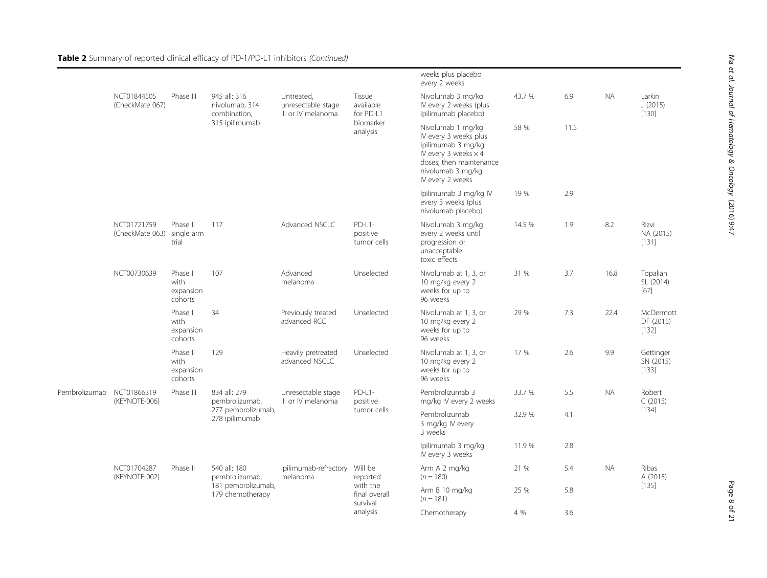Table 2 Summary of reported clinical efficacy of PD-1/PD-L1 inhibitors (Continued)

|               |                                |                                          |                                                |                                                        |                                               | weeks plus placebo<br>every 2 weeks                                                                                                                                 |              |      |           |                                        |  |
|---------------|--------------------------------|------------------------------------------|------------------------------------------------|--------------------------------------------------------|-----------------------------------------------|---------------------------------------------------------------------------------------------------------------------------------------------------------------------|--------------|------|-----------|----------------------------------------|--|
|               | NCT01844505<br>(CheckMate 067) | Phase III                                | 945 all: 316<br>nivolumab. 314<br>combination, | Untreated.<br>unresectable stage<br>III or IV melanoma | Tissue<br>available<br>for PD-L1<br>biomarker | Nivolumab 3 mg/kg<br>IV every 2 weeks (plus<br>ipilimumab placebo)                                                                                                  | 43.7 %       | 6.9  | <b>NA</b> | Larkin<br>J(2015)<br>$[130]$           |  |
|               |                                |                                          | 315 ipilimumab                                 |                                                        | analysis                                      | Nivolumab 1 mg/kg<br>IV every 3 weeks plus<br>ipilimumab 3 mg/kg<br>IV every 3 weeks $\times$ 4<br>doses: then maintenance<br>nivolumab 3 mg/kg<br>IV every 2 weeks | 58 %         | 11.5 |           |                                        |  |
|               |                                |                                          |                                                |                                                        |                                               | Ipilimumab 3 mg/kg IV<br>every 3 weeks (plus<br>nivolumab placebo)                                                                                                  | 19 %         | 2.9  |           |                                        |  |
|               | NCT01721759<br>(CheckMate 063) | Phase II<br>single arm<br>trial          | 117                                            | Advanced NSCLC                                         | $PD-L1-$<br>positive<br>tumor cells           | Nivolumab 3 mg/kg<br>every 2 weeks until<br>progression or<br>unacceptable<br>toxic effects                                                                         | 14.5 %       | 1.9  | 8.2       | Rizvi<br>NA (2015)<br>[131]            |  |
|               | NCT00730639                    | Phase I<br>with<br>expansion<br>cohorts  | 107                                            | Advanced<br>melanoma                                   | Unselected                                    | Nivolumab at 1, 3, or<br>10 mg/kg every 2<br>weeks for up to<br>96 weeks                                                                                            | 31 %         | 3.7  | 16.8      | Topalian<br>SL (2014)<br>$[67]$        |  |
|               |                                | Phase I<br>with<br>expansion<br>cohorts  | 34                                             | Previously treated<br>advanced RCC                     | Unselected                                    | Nivolumab at 1, 3, or<br>10 mg/kg every 2<br>weeks for up to<br>96 weeks                                                                                            | 29 %         | 7.3  | 22.4      | <b>McDermott</b><br>DF (2015)<br>[132] |  |
|               |                                | Phase II<br>with<br>expansion<br>cohorts | 129                                            | Heavily pretreated<br>advanced NSCLC                   | Unselected                                    | Nivolumab at 1, 3, or<br>10 mg/kg every 2<br>weeks for up to<br>96 weeks                                                                                            | 17 %         | 2.6  | 9.9       | Gettinger<br>SN (2015)<br>[133]        |  |
| Pembrolizumab | NCT01866319<br>(KEYNOTE-006)   | Phase III                                | 834 all: 279<br>pembrolizumab,                 | Unresectable stage<br>III or IV melanoma               | $PD-L1-$<br>positive                          | Pembrolizumab 3<br>mg/kg IV every 2 weeks                                                                                                                           | 33.7 %       | 5.5  | <b>NA</b> | Robert<br>C(2015)                      |  |
|               |                                |                                          | 277 pembrolizumab,<br>278 ipilimumab           |                                                        | tumor cells                                   | Pembrolizumab<br>3 mg/kg IV every<br>3 weeks                                                                                                                        | 32.9 %       | 4.1  |           | $[134]$                                |  |
|               |                                |                                          |                                                |                                                        |                                               | Ipilimumab 3 mg/kg<br>IV every 3 weeks                                                                                                                              | 11.9 %       | 2.8  |           |                                        |  |
|               | NCT01704287<br>(KEYNOTE-002)   | Phase II                                 | 540 all: 180<br>pembrolizumab,                 | Ipilimumab-refractory<br>melanoma                      | Will be<br>reported                           | Arm A 2 mg/kg<br>$(n = 180)$                                                                                                                                        | 21 %         | 5.4  | <b>NA</b> | Ribas<br>A (2015)                      |  |
|               |                                |                                          | 181 pembrolizumab,<br>179 chemotherapy         |                                                        | with the<br>final overall<br>survival         | Arm B 10 mg/kg<br>$(n = 181)$                                                                                                                                       | 25 %         | 5.8  |           | $[135]$                                |  |
|               |                                |                                          |                                                |                                                        |                                               | analysis                                                                                                                                                            | Chemotherapy | 4 %  | 3.6       |                                        |  |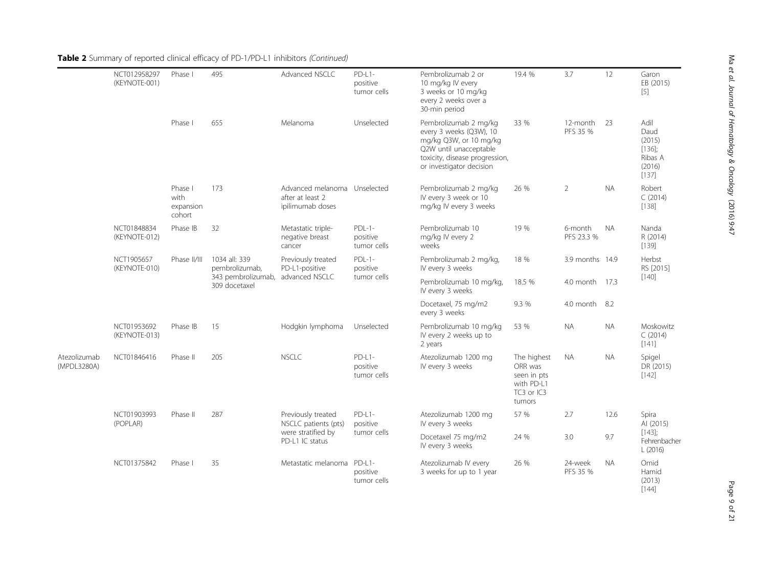|                             | NCT012958297<br>(KEYNOTE-001) | Phase I                                | 495                                                                    | Advanced NSCLC                                                       | $PD-L1-$<br>positive<br>tumor cells | Pembrolizumab 2 or<br>10 mg/kg IV every<br>3 weeks or 10 mg/kg<br>every 2 weeks over a<br>30-min period                                                            | 19.4 %                                                                      | 3.7                   | 12        | Garon<br>EB (2015)<br>$[5]$                                       |
|-----------------------------|-------------------------------|----------------------------------------|------------------------------------------------------------------------|----------------------------------------------------------------------|-------------------------------------|--------------------------------------------------------------------------------------------------------------------------------------------------------------------|-----------------------------------------------------------------------------|-----------------------|-----------|-------------------------------------------------------------------|
|                             |                               | Phase I                                | 655                                                                    | Melanoma                                                             | Unselected                          | Pembrolizumab 2 mg/kg<br>every 3 weeks (Q3W), 10<br>mg/kg Q3W, or 10 mg/kg<br>Q2W until unacceptable<br>toxicity, disease progression,<br>or investigator decision | 33 %                                                                        | 12-month<br>PFS 35 %  | -23       | Adil<br>Daud<br>(2015)<br>$[136]$ ;<br>Ribas A<br>(2016)<br>[137] |
|                             |                               | Phase I<br>with<br>expansion<br>cohort | 173                                                                    | Advanced melanoma Unselected<br>after at least 2<br>ipilimumab doses |                                     | Pembrolizumab 2 mg/kg<br>IV every 3 week or 10<br>mg/kg IV every 3 weeks                                                                                           | 26 %                                                                        | $\overline{2}$        | <b>NA</b> | Robert<br>C(2014)<br>[138]                                        |
|                             | NCT01848834<br>(KEYNOTE-012)  | Phase IB                               | 32                                                                     | Metastatic triple-<br>negative breast<br>cancer                      | $PDL-1-$<br>positive<br>tumor cells | Pembrolizumab 10<br>mg/kg IV every 2<br>weeks                                                                                                                      | 19 %                                                                        | 6-month<br>PFS 23.3 % | <b>NA</b> | Nanda<br>R (2014)<br>[139]                                        |
|                             | NCT1905657<br>(KEYNOTE-010)   | Phase II/III                           | 1034 all: 339<br>pembrolizumab,<br>343 pembrolizumab,<br>309 docetaxel | Previously treated<br>PD-L1-positive<br>advanced NSCLC               | $PDL-1-$<br>positive                | Pembrolizumab 2 mg/kg,<br>IV every 3 weeks                                                                                                                         | 18 %                                                                        | 3.9 months 14.9       |           | Herbst<br>RS [2015]                                               |
|                             |                               |                                        |                                                                        |                                                                      | tumor cells                         | Pembrolizumab 10 mg/kg,<br>IV every 3 weeks                                                                                                                        | 18.5 %                                                                      | 4.0 month 17.3        |           | $[140]$                                                           |
|                             |                               |                                        |                                                                        |                                                                      |                                     | Docetaxel, 75 mg/m2<br>every 3 weeks                                                                                                                               | 9.3 %                                                                       | 4.0 month             | 8.2       |                                                                   |
|                             | NCT01953692<br>(KEYNOTE-013)  | Phase IB                               | 15                                                                     | Hodgkin lymphoma                                                     | Unselected                          | Pembrolizumab 10 mg/kg<br>IV every 2 weeks up to<br>2 years                                                                                                        | 53 %                                                                        | <b>NA</b>             | <b>NA</b> | Moskowitz<br>C(2014)<br>$[141]$                                   |
| Atezolizumab<br>(MPDL3280A) | NCT01846416                   | Phase II                               | 205                                                                    | <b>NSCLC</b>                                                         | $PD-L1-$<br>positive<br>tumor cells | Atezolizumab 1200 mg<br>IV every 3 weeks                                                                                                                           | The highest<br>ORR was<br>seen in pts<br>with PD-L1<br>TC3 or IC3<br>tumors | <b>NA</b>             | <b>NA</b> | Spigel<br>DR (2015)<br>$[142]$                                    |
|                             | NCT01903993<br>(POPLAR)       | Phase II                               | 287                                                                    | Previously treated<br>NSCLC patients (pts)                           | $PD-L1-$<br>positive                | Atezolizumab 1200 mg<br>IV every 3 weeks                                                                                                                           | 57 %                                                                        | 2.7                   | 12.6      | Spira<br>AI (2015)                                                |
|                             |                               |                                        |                                                                        | were stratified by<br>PD-L1 IC status                                | tumor cells                         | Docetaxel 75 mg/m2<br>IV every 3 weeks                                                                                                                             | 24 %                                                                        | 3.0                   | 9.7       | $[143]$ ;<br>Fehrenbacher<br>L(2016)                              |
|                             | NCT01375842                   | Phase I                                | 35                                                                     | Metastatic melanoma PD-L1-                                           | positive<br>tumor cells             | Atezolizumab IV every<br>3 weeks for up to 1 year                                                                                                                  | 26 %                                                                        | 24-week<br>PFS 35 %   | <b>NA</b> | Omid<br>Hamid<br>(2013)<br>$[144]$                                |

Table 2 Summary of reported clinical efficacy of PD-1/PD-L1 inhibitors (Continued)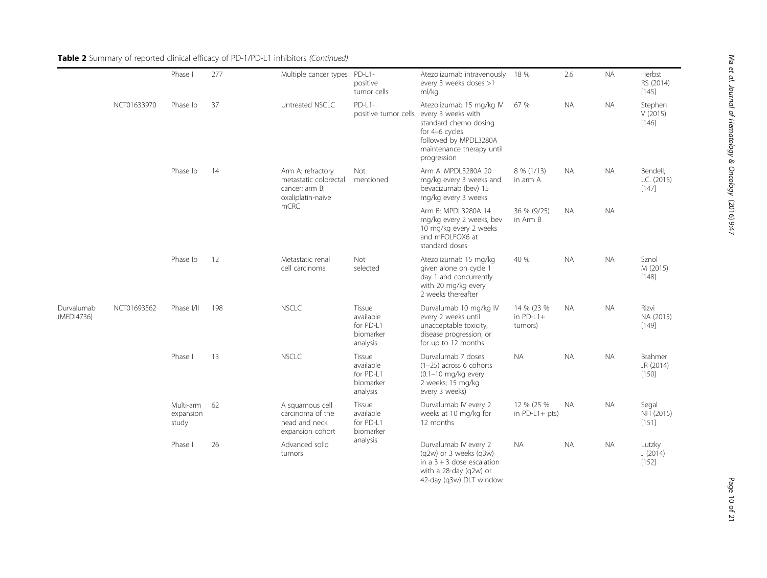|                          |             | Phase I                         | 277 | Multiple cancer types                                                                     | PD-L1-<br>positive<br>tumor cells                         | Atezolizumab intravenously<br>every 3 weeks doses >1<br>ml/kg                                                                                                                       | 18 %                                 | 2.6       | <b>NA</b> | Herbst<br>RS (2014)<br>[145]         |
|--------------------------|-------------|---------------------------------|-----|-------------------------------------------------------------------------------------------|-----------------------------------------------------------|-------------------------------------------------------------------------------------------------------------------------------------------------------------------------------------|--------------------------------------|-----------|-----------|--------------------------------------|
|                          | NCT01633970 | Phase Ib                        | 37  | Untreated NSCLC                                                                           | $PD-L1-$                                                  | Atezolizumab 15 mg/kg IV<br>positive tumor cells every 3 weeks with<br>standard chemo dosing<br>for 4-6 cycles<br>followed by MPDL3280A<br>maintenance therapy until<br>progression | 67 %                                 | <b>NA</b> | <b>NA</b> | Stephen<br>V(2015)<br>[146]          |
|                          |             | Phase Ib                        | 14  | Arm A: refractory<br>metastatic colorectal<br>cancer; arm B:<br>oxaliplatin-naive<br>mCRC | Not<br>mentioned                                          | Arm A: MPDL3280A 20<br>mg/kg every 3 weeks and<br>bevacizumab (bev) 15<br>mg/kg every 3 weeks                                                                                       | $8\%$ (1/13)<br>in arm A             | <b>NA</b> | <b>NA</b> | Bendell,<br>J.C. (2015)<br>[147]     |
|                          |             |                                 |     |                                                                                           |                                                           | Arm B: MPDL3280A 14<br>mg/kg every 2 weeks, bev<br>10 mg/kg every 2 weeks<br>and mFOLFOX6 at<br>standard doses                                                                      | 36 % (9/25)<br>in Arm B              | <b>NA</b> | <b>NA</b> |                                      |
|                          |             | Phase Ib                        | 12  | Metastatic renal<br>cell carcinoma                                                        | Not<br>selected                                           | Atezolizumab 15 mg/kg<br>given alone on cycle 1<br>day 1 and concurrently<br>with 20 mg/kg every<br>2 weeks thereafter                                                              | 40 %                                 | <b>NA</b> | <b>NA</b> | Sznol<br>M (2015)<br>$[148]$         |
| Durvalumab<br>(MEDI4736) | NCT01693562 | Phase I/II                      | 198 | <b>NSCLC</b>                                                                              | Tissue<br>available<br>for PD-L1<br>biomarker<br>analysis | Durvalumab 10 mg/kg IV<br>every 2 weeks until<br>unacceptable toxicity,<br>disease progression, or<br>for up to 12 months                                                           | 14 % (23 %<br>in $PD-L1+$<br>tumors) | <b>NA</b> | <b>NA</b> | Rizvi<br>NA (2015)<br>$[149]$        |
|                          |             | Phase I                         | 13  | <b>NSCLC</b>                                                                              | Tissue<br>available<br>for PD-L1<br>biomarker<br>analysis | Durvalumab 7 doses<br>(1-25) across 6 cohorts<br>$(0.1-10$ mg/kg every<br>2 weeks; 15 mg/kg<br>every 3 weeks)                                                                       | <b>NA</b>                            | <b>NA</b> | <b>NA</b> | <b>Brahmer</b><br>JR (2014)<br>[150] |
|                          |             | Multi-arm<br>expansion<br>study | 62  | A squamous cell<br>carcinoma of the<br>head and neck<br>expansion cohort                  | Tissue<br>available<br>for PD-L1<br>biomarker             | Durvalumab IV every 2<br>weeks at 10 mg/kg for<br>12 months                                                                                                                         | 12 % (25 %<br>in $PD-L1+pts$ )       | NA.       | <b>NA</b> | Segal<br>NH (2015)<br>[151]          |
|                          |             | Phase I                         | 26  | Advanced solid<br>tumors                                                                  | analysis                                                  | Durvalumab IV every 2<br>(q2w) or 3 weeks (q3w)<br>in a $3 + 3$ dose escalation<br>with a 28-day (q2w) or<br>42-day (q3w) DLT window                                                | <b>NA</b>                            | <b>NA</b> | <b>NA</b> | Lutzky<br>J(2014)<br>[152]           |

# Table 2 Summary of reported clinical efficacy of PD-1/PD-L1 inhibitors (Continued)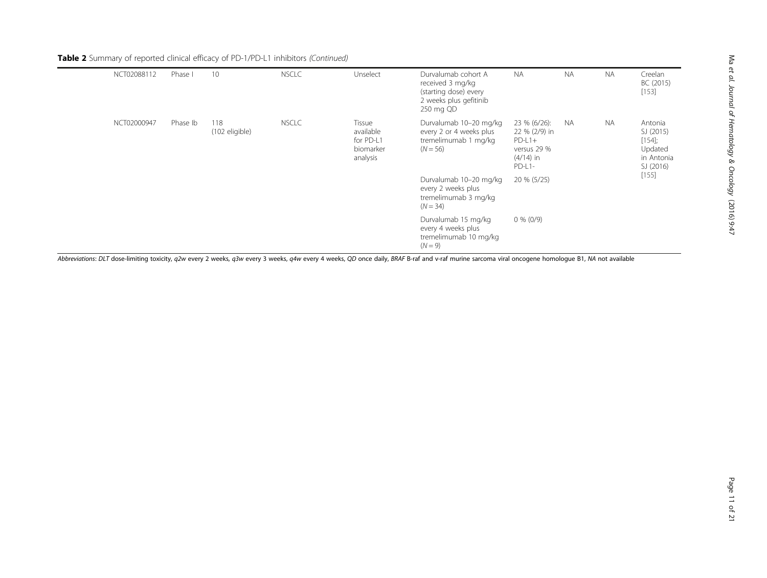| Table 2 Summary of reported clinical efficacy of PD-1/PD-L1 inhibitors (Continued) |  |
|------------------------------------------------------------------------------------|--|
|                                                                                    |  |

| NCT02088112 | Phase I  | 10                    | <b>NSCLC</b> | Unselect                                                  | Durvalumab cohort A<br>received 3 mg/kg<br>(starting dose) every<br>2 weeks plus gefitinib<br>250 mg QD | <b>NA</b>                                                                         | <b>NA</b> | <b>NA</b> | Creelan<br>BC (2015)<br>[153]                                           |
|-------------|----------|-----------------------|--------------|-----------------------------------------------------------|---------------------------------------------------------------------------------------------------------|-----------------------------------------------------------------------------------|-----------|-----------|-------------------------------------------------------------------------|
| NCT02000947 | Phase Ib | 118<br>(102 eligible) | <b>NSCLC</b> | Tissue<br>available<br>for PD-L1<br>biomarker<br>analysis | Durvalumab 10-20 mg/kg<br>every 2 or 4 weeks plus<br>tremelimumab 1 mg/kg<br>$(N = 56)$                 | 23 % (6/26):<br>22 % (2/9) in<br>$PD-L1+$<br>versus 29 %<br>$(4/14)$ in<br>PD-L1- | <b>NA</b> | <b>NA</b> | Antonia<br>SJ (2015)<br>$[154]$ ;<br>Updated<br>in Antonia<br>SJ (2016) |
|             |          |                       |              |                                                           | Durvalumab 10-20 mg/kg<br>every 2 weeks plus<br>tremelimumab 3 mg/kg<br>$(N = 34)$                      | 20 % (5/25)                                                                       |           |           | [155]                                                                   |
|             |          |                       |              |                                                           | Durvalumab 15 mg/kg<br>every 4 weeks plus<br>tremelimumab 10 mg/kg<br>$(N = 9)$                         | $0\%$ (0/9)                                                                       |           |           |                                                                         |

Abbreviations: DLT dose-limiting toxicity, q2w every 2 weeks, q3w every 3 weeks, q4w every 4 weeks, QD once daily, BRAF B-raf and v-raf murine sarcoma viral oncogene homologue B1, NA not available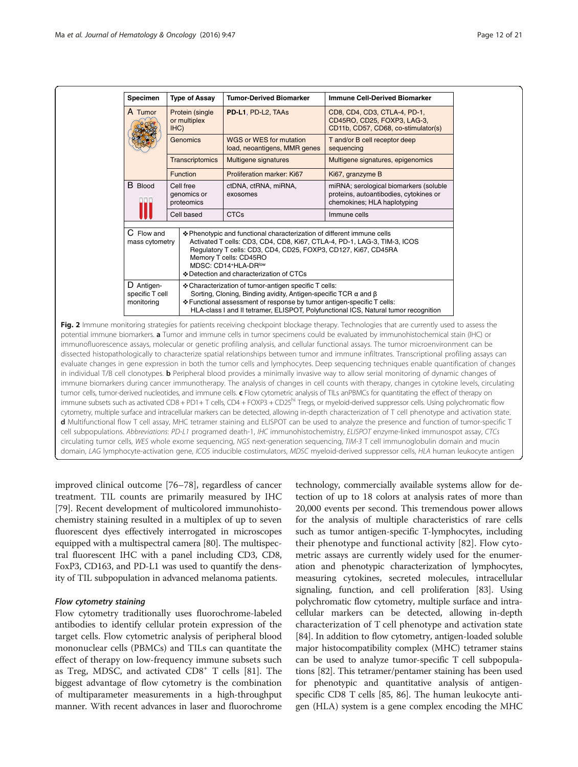<span id="page-11-0"></span>

| Specimen                                    | <b>Type of Assay</b>                   | <b>Tumor-Derived Biomarker</b>                                                                                                                                                                                                                                                                                     | <b>Immune Cell-Derived Biomarker</b>                                                                            |  |  |  |
|---------------------------------------------|----------------------------------------|--------------------------------------------------------------------------------------------------------------------------------------------------------------------------------------------------------------------------------------------------------------------------------------------------------------------|-----------------------------------------------------------------------------------------------------------------|--|--|--|
| A Tumor                                     | Protein (single<br>or multiplex<br>H C | PD-L1, PD-L2, TAAs                                                                                                                                                                                                                                                                                                 | CD8, CD4, CD3, CTLA-4, PD-1,<br>CD45RO, CD25, FOXP3, LAG-3,<br>CD11b, CD57, CD68, co-stimulator(s)              |  |  |  |
|                                             | <b>Genomics</b>                        | WGS or WES for mutation<br>load, neoantigens, MMR genes                                                                                                                                                                                                                                                            | T and/or B cell receptor deep<br>sequencing                                                                     |  |  |  |
|                                             | <b>Transcriptomics</b>                 | Multigene signatures                                                                                                                                                                                                                                                                                               | Multigene signatures, epigenomics                                                                               |  |  |  |
|                                             | <b>Function</b>                        | Proliferation marker: Ki67                                                                                                                                                                                                                                                                                         | Ki67, granzyme B                                                                                                |  |  |  |
| <b>B</b> Blood                              | Cell free<br>genomics or<br>proteomics | ctDNA, ctRNA, miRNA,<br>exosomes                                                                                                                                                                                                                                                                                   | miRNA; serological biomarkers (soluble<br>proteins, autoantibodies, cytokines or<br>chemokines; HLA haplotyping |  |  |  |
|                                             | Cell based                             | <b>CTCs</b>                                                                                                                                                                                                                                                                                                        | Immune cells                                                                                                    |  |  |  |
| C Flow and<br>mass cytometry                |                                        | ❖ Phenotypic and functional characterization of different immune cells<br>Activated T cells: CD3, CD4, CD8, Ki67, CTLA-4, PD-1, LAG-3, TIM-3, ICOS<br>Regulatory T cells: CD3, CD4, CD25, FOXP3, CD127, Ki67, CD45RA<br>Memory T cells: CD45RO<br>MDSC: CD14+HLA-DRIow<br>❖ Detection and characterization of CTCs |                                                                                                                 |  |  |  |
| D Antigen-<br>specific T cell<br>monitoring |                                        | ❖ Characterization of tumor-antigen specific T cells:<br>Sorting, Cloning, Binding avidity, Antigen-specific TCR $\alpha$ and $\beta$<br>❖ Functional assessment of response by tumor antigen-specific T cells:<br>HLA-class I and II tetramer, ELISPOT, Polyfunctional ICS, Natural tumor recognition             |                                                                                                                 |  |  |  |

potential immune biomarkers. a Tumor and immune cells in tumor specimens could be evaluated by immunohistochemical stain (IHC) or immunofluorescence assays, molecular or genetic profiling analysis, and cellular functional assays. The tumor microenvironment can be dissected histopathologically to characterize spatial relationships between tumor and immune infiltrates. Transcriptional profiling assays can evaluate changes in gene expression in both the tumor cells and lymphocytes. Deep sequencing techniques enable quantification of changes in individual T/B cell clonotypes. **b** Peripheral blood provides a minimally invasive way to allow serial monitoring of dynamic changes of immune biomarkers during cancer immunotherapy. The analysis of changes in cell counts with therapy, changes in cytokine levels, circulating tumor cells, tumor-derived nucleotides, and immune cells. c Flow cytometric analysis of TILs anPBMCs for quantitating the effect of therapy on immune subsets such as activated CD8 + PD1+ T cells, CD4 + FOXP3 + CD25<sup>hi</sup> Tregs, or myeloid-derived suppressor cells. Using polychromatic flow cytometry, multiple surface and intracellular markers can be detected, allowing in-depth characterization of T cell phenotype and activation state. d Multifunctional flow T cell assay, MHC tetramer staining and ELISPOT can be used to analyze the presence and function of tumor-specific T cell subpopulations. Abbreviations: PD-L1 programed death-1, IHC immunohistochemistry, ELISPOT enzyme-linked immunospot assay, CTCs circulating tumor cells, WES whole exome sequencing, NGS next-generation sequencing, TIM-3 T cell immunoglobulin domain and mucin domain, LAG lymphocyte-activation gene, ICOS inducible costimulators, MDSC myeloid-derived suppressor cells, HLA human leukocyte antigen

improved clinical outcome [[76](#page-18-0)–[78](#page-18-0)], regardless of cancer treatment. TIL counts are primarily measured by IHC [[79\]](#page-18-0). Recent development of multicolored immunohistochemistry staining resulted in a multiplex of up to seven fluorescent dyes effectively interrogated in microscopes equipped with a multispectral camera [\[80](#page-18-0)]. The multispectral fluorescent IHC with a panel including CD3, CD8, FoxP3, CD163, and PD-L1 was used to quantify the density of TIL subpopulation in advanced melanoma patients.

#### Flow cytometry staining

Flow cytometry traditionally uses fluorochrome-labeled antibodies to identify cellular protein expression of the target cells. Flow cytometric analysis of peripheral blood mononuclear cells (PBMCs) and TILs can quantitate the effect of therapy on low-frequency immune subsets such as Treg, MDSC, and activated  $CD8<sup>+</sup>$  T cells [[81](#page-18-0)]. The biggest advantage of flow cytometry is the combination of multiparameter measurements in a high-throughput manner. With recent advances in laser and fluorochrome

technology, commercially available systems allow for detection of up to 18 colors at analysis rates of more than 20,000 events per second. This tremendous power allows for the analysis of multiple characteristics of rare cells such as tumor antigen-specific T-lymphocytes, including their phenotype and functional activity [\[82\]](#page-18-0). Flow cytometric assays are currently widely used for the enumeration and phenotypic characterization of lymphocytes, measuring cytokines, secreted molecules, intracellular signaling, function, and cell proliferation [[83](#page-18-0)]. Using polychromatic flow cytometry, multiple surface and intracellular markers can be detected, allowing in-depth characterization of T cell phenotype and activation state [[84](#page-18-0)]. In addition to flow cytometry, antigen-loaded soluble major histocompatibility complex (MHC) tetramer stains can be used to analyze tumor-specific T cell subpopulations [\[82\]](#page-18-0). This tetramer/pentamer staining has been used for phenotypic and quantitative analysis of antigenspecific CD8 T cells [\[85, 86](#page-18-0)]. The human leukocyte antigen (HLA) system is a gene complex encoding the MHC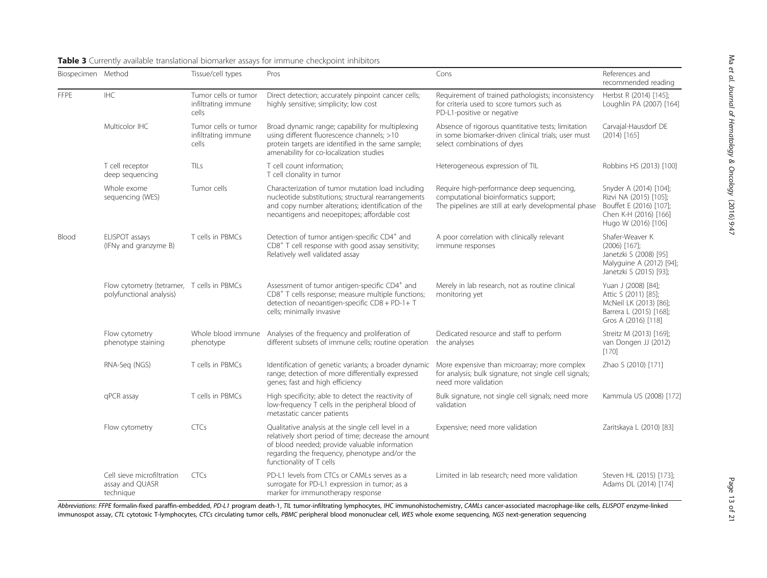| Biospecimen Method |                                                                        | Tissue/cell types                                    | Pros                                                                                                                                                                                                                                     | Cons                                                                                                                                       | References and<br>recommended reading                                                                                       |
|--------------------|------------------------------------------------------------------------|------------------------------------------------------|------------------------------------------------------------------------------------------------------------------------------------------------------------------------------------------------------------------------------------------|--------------------------------------------------------------------------------------------------------------------------------------------|-----------------------------------------------------------------------------------------------------------------------------|
| <b>FFPE</b>        | <b>IHC</b>                                                             | Tumor cells or tumor<br>infiltrating immune<br>cells | Direct detection; accurately pinpoint cancer cells;<br>highly sensitive; simplicity; low cost                                                                                                                                            | Requirement of trained pathologists; inconsistency<br>for criteria used to score tumors such as<br>PD-L1-positive or negative              | Herbst R (2014) [145];<br>Loughlin PA (2007) [164]                                                                          |
|                    | Multicolor IHC                                                         | Tumor cells or tumor<br>infiltrating immune<br>cells | Broad dynamic range; capability for multiplexing<br>using different fluorescence channels; >10<br>protein targets are identified in the same sample;<br>amenability for co-localization studies                                          | Absence of rigorous quantitative tests; limitation<br>in some biomarker-driven clinical trials; user must<br>select combinations of dyes   | Carvajal-Hausdorf DE<br>$(2014)$ [165]                                                                                      |
|                    | T cell receptor<br>deep sequencing                                     | TII s                                                | T cell count information;<br>T cell clonality in tumor                                                                                                                                                                                   | Heterogeneous expression of TIL                                                                                                            | Robbins HS (2013) [100]                                                                                                     |
|                    | Whole exome<br>sequencing (WES)                                        | Tumor cells                                          | Characterization of tumor mutation load including<br>nucleotide substitutions; structural rearrangements<br>and copy number alterations; identification of the<br>neoantigens and neoepitopes; affordable cost                           | Require high-performance deep sequencing,<br>computational bioinformatics support;<br>The pipelines are still at early developmental phase | Snyder A (2014) [104];<br>Rizvi NA (2015) [105];<br>Bouffet E (2016) [107];<br>Chen K-H (2016) [166]<br>Hugo W (2016) [106] |
| Blood              | ELISPOT assays<br>(IFNy and granzyme B)                                | T cells in PBMCs                                     | Detection of tumor antigen-specific CD4 <sup>+</sup> and<br>CD8 <sup>+</sup> T cell response with good assay sensitivity;<br>Relatively well validated assay                                                                             | A poor correlation with clinically relevant<br>immune responses                                                                            | Shafer-Weaver K<br>$(2006)$ [167];<br>Janetzki S (2008) [95]<br>Malyguine A (2012) [94];<br>Janetzki S (2015) [93];         |
|                    | Flow cytometry (tetramer, T cells in PBMCs<br>polyfunctional analysis) |                                                      | Assessment of tumor antigen-specific CD4 <sup>+</sup> and<br>CD8 <sup>+</sup> T cells response; measure multiple functions;<br>detection of neoantigen-specific CD8 + PD-1+ T<br>cells; minimally invasive                               | Merely in lab research, not as routine clinical<br>monitoring yet                                                                          | Yuan J (2008) [84];<br>Attic S (2011) [85];<br>McNeil LK (2013) [86];<br>Barrera L (2015) [168];<br>Gros A (2016) [118]     |
|                    | Flow cytometry<br>phenotype staining                                   | Whole blood immune<br>phenotype                      | Analyses of the frequency and proliferation of<br>different subsets of immune cells; routine operation the analyses                                                                                                                      | Dedicated resource and staff to perform                                                                                                    | Streitz M (2013) [169];<br>van Dongen JJ (2012)<br>$[170]$                                                                  |
|                    | T cells in PBMCs<br>RNA-Seg (NGS)                                      |                                                      | Identification of genetic variants; a broader dynamic<br>range; detection of more differentially expressed<br>genes; fast and high efficiency                                                                                            | More expensive than microarray; more complex<br>for analysis; bulk signature, not single cell signals;<br>need more validation             | Zhao S (2010) [171]                                                                                                         |
|                    | qPCR assay                                                             | T cells in PBMCs                                     | High specificity; able to detect the reactivity of<br>low-frequency T cells in the peripheral blood of<br>metastatic cancer patients                                                                                                     | Bulk signature, not single cell signals; need more<br>validation                                                                           | Kammula US (2008) [172]                                                                                                     |
|                    | Flow cytometry                                                         | CTCs                                                 | Qualitative analysis at the single cell level in a<br>relatively short period of time; decrease the amount<br>of blood needed; provide valuable information<br>regarding the frequency, phenotype and/or the<br>functionality of T cells | Expensive; need more validation                                                                                                            | Zaritskaya L (2010) [83]                                                                                                    |
|                    | Cell sieve microfiltration<br>assay and QUASR<br>technique             | <b>CTCs</b>                                          | PD-L1 levels from CTCs or CAMLs serves as a<br>surrogate for PD-L1 expression in tumor; as a<br>marker for immunotherapy response                                                                                                        | Limited in lab research; need more validation                                                                                              | Steven HL (2015) [173];<br>Adams DL (2014) [174]                                                                            |

### <span id="page-12-0"></span>Table 3 Currently available translational biomarker assays for immune checkpoint inhibitors

Abbreviations: FFPE formalin-fixed paraffin-embedded, PD-L1 program death-1, TIL tumor-infiltrating lymphocytes, IHC immunohistochemistry, CAMLs cancer-associated macrophage-like cells, ELISPOT enzyme-linked<br>immunospot ass immunospot assay, CTL cytotoxic T-lymphocytes, CTCs circulating tumor cells, PBMC peripheral blood mononuclear cell, WES whole exome sequencing, NGS next-generation sequencing<br>.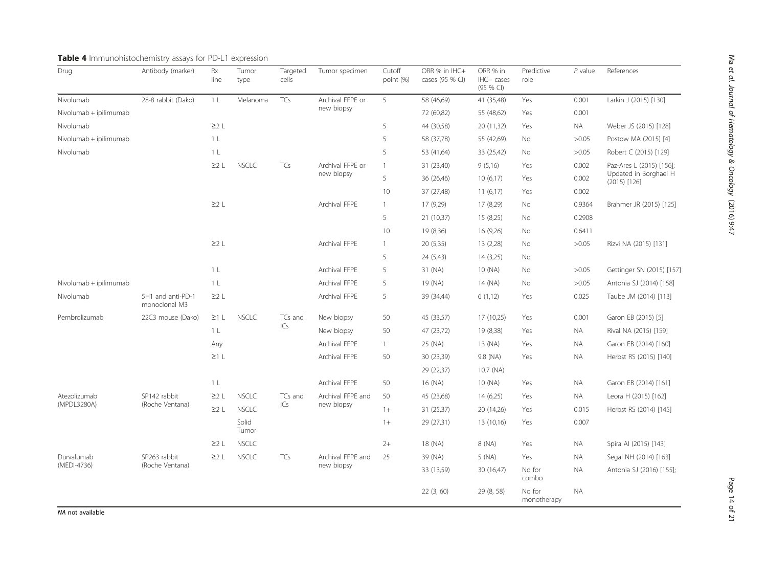| Drug                   | Antibody (marker)                  | Rx<br>line     | Tumor<br>type  | Targeted<br>cells | Tumor specimen                 | Cutoff<br>point (%) | ORR % in IHC+<br>cases (95 % CI) | ORR % in<br>IHC-cases<br>(95 % CI) | Predictive<br>role    | $P$ value | References                              |
|------------------------|------------------------------------|----------------|----------------|-------------------|--------------------------------|---------------------|----------------------------------|------------------------------------|-----------------------|-----------|-----------------------------------------|
| Nivolumab              | 28-8 rabbit (Dako)                 | 1 <sub>L</sub> | Melanoma       | TCs               | Archival FFPE or               | 5                   | 58 (46,69)                       | 41 (35,48)                         | Yes                   | 0.001     | Larkin J (2015) [130]                   |
| Nivolumab + ipilimumab |                                    |                |                |                   | new biopsy                     |                     | 72 (60,82)                       | 55 (48,62)                         | Yes                   | 0.001     |                                         |
| Nivolumab              |                                    | $\geq$ 2 L     |                |                   |                                | 5                   | 44 (30,58)                       | 20 (11,32)                         | Yes                   | <b>NA</b> | Weber JS (2015) [128]                   |
| Nivolumab + ipilimumab |                                    | 1 <sub>L</sub> |                |                   |                                | 5                   | 58 (37,78)                       | 55 (42,69)                         | No                    | >0.05     | Postow MA (2015) [4]                    |
| Nivolumab              |                                    | 1 <sub>L</sub> |                |                   |                                | 5                   | 53 (41,64)                       | 33 (25,42)                         | <b>No</b>             | >0.05     | Robert C (2015) [129]                   |
|                        |                                    | $\geq$ 2 L     | <b>NSCLC</b>   | TCs               | Archival FFPE or<br>new biopsy | $\mathbf{1}$        | 31 (23,40)                       | 9(5,16)                            | Yes                   | 0.002     | Paz-Ares L (2015) [156];                |
|                        |                                    |                |                |                   |                                | 5                   | 36 (26,46)                       | 10(6,17)                           | Yes                   | 0.002     | Updated in Borghaei H<br>$(2015)$ [126] |
|                        |                                    |                |                |                   |                                | 10                  | 37 (27,48)                       | 11(6,17)                           | Yes                   | 0.002     |                                         |
|                        |                                    | $\geq$ 2 L     |                |                   | Archival FFPE                  | $\mathbf{1}$        | 17 (9,29)                        | 17 (8,29)                          | No                    | 0.9364    | Brahmer JR (2015) [125]                 |
|                        |                                    |                |                |                   |                                | 5                   | 21 (10,37)                       | 15 (8,25)                          | No                    | 0.2908    |                                         |
|                        |                                    |                |                |                   |                                | 10                  | 19 (8,36)                        | 16 (9,26)                          | No                    | 0.6411    |                                         |
|                        |                                    | $\geq$ 2 L     |                |                   | Archival FFPE                  | $\mathbf{1}$        | 20 (5,35)                        | 13 (2,28)                          | No                    | >0.05     | Rizvi NA (2015) [131]                   |
|                        |                                    |                |                |                   |                                | 5                   | 24 (5,43)                        | 14(3,25)                           | No                    |           |                                         |
|                        |                                    | $1 \; L$       |                |                   | Archival FFPE                  | 5                   | 31 (NA)                          | 10 (NA)                            | No                    | >0.05     | Gettinger SN (2015) [157]               |
| Nivolumab + ipilimumab |                                    | 1 <sub>L</sub> |                |                   | Archival FFPE                  | 5                   | 19 (NA)                          | 14 (NA)                            | No                    | >0.05     | Antonia SJ (2014) [158]                 |
| Nivolumab              | 5H1 and anti-PD-1<br>monoclonal M3 | $\geq$ 2 L     |                |                   | Archival FFPE                  | 5                   | 39 (34,44)                       | 6(1,12)                            | Yes                   | 0.025     | Taube JM (2014) [113]                   |
| Pembrolizumab          | 22C3 mouse (Dako)                  | $\geq 1$ L     | <b>NSCLC</b>   | TCs and           | New biopsy                     | 50                  | 45 (33,57)                       | 17 (10,25)                         | Yes                   | 0.001     | Garon EB (2015) [5]                     |
|                        |                                    | 1 <sub>L</sub> |                | ICs               | New biopsy                     | 50                  | 47 (23,72)                       | 19 (8,38)                          | Yes                   | NA.       | Rival NA (2015) [159]                   |
|                        |                                    | Any            |                |                   | Archival FFPE                  | $\mathbf{1}$        | 25 (NA)                          | 13 (NA)                            | Yes                   | <b>NA</b> | Garon EB (2014) [160]                   |
|                        |                                    | $\geq 1$ L     |                |                   | Archival FFPE                  | 50                  | 30 (23,39)                       | 9.8 (NA)                           | Yes                   | <b>NA</b> | Herbst RS (2015) [140]                  |
|                        |                                    |                |                |                   |                                |                     | 29 (22,37)                       | 10.7 (NA)                          |                       |           |                                         |
|                        |                                    | 1 <sub>L</sub> |                |                   | Archival FFPE                  | 50                  | 16 (NA)                          | 10 (NA)                            | Yes                   | <b>NA</b> | Garon EB (2014) [161]                   |
| Atezolizumab           | SP142 rabbit                       | $\geq$ 2 L     | <b>NSCLC</b>   | TCs and           | Archival FFPE and              | 50                  | 45 (23,68)                       | 14(6,25)                           | Yes                   | <b>NA</b> | Leora H (2015) [162]                    |
| (MPDL3280A)            | (Roche Ventana)                    | 22L            | <b>NSCLC</b>   | ICs               | new biopsy                     | $1+$                | 31 (25,37)                       | 20 (14,26)                         | Yes                   | 0.015     | Herbst RS (2014) [145]                  |
|                        |                                    |                | Solid<br>Tumor |                   |                                | $1+$                | 29 (27,31)                       | 13 (10,16)                         | Yes                   | 0.007     |                                         |
|                        |                                    | $\geq$ 2 L     | <b>NSCLC</b>   |                   |                                | $2+$                | 18 (NA)                          | 8 (NA)                             | Yes                   | NA.       | Spira Al (2015) [143]                   |
| Durvalumab             | SP263 rabbit                       | $\geq$ 2 L     | <b>NSCLC</b>   | TCs               | Archival FFPE and              | 25                  | 39 (NA)                          | 5 (NA)                             | Yes                   | <b>NA</b> | Segal NH (2014) [163]                   |
| (MEDI-4736)            | (Roche Ventana)                    |                |                |                   | new biopsy                     |                     | 33 (13,59)                       | 30 (16,47)                         | No for<br>combo       | <b>NA</b> | Antonia SJ (2016) [155];                |
|                        |                                    |                |                |                   |                                |                     | 22(3, 60)                        | 29 (8, 58)                         | No for<br>monotherapy | <b>NA</b> |                                         |

# <span id="page-13-0"></span>Table 4 Immunohistochemistry assays for PD-L1 expression

NA not available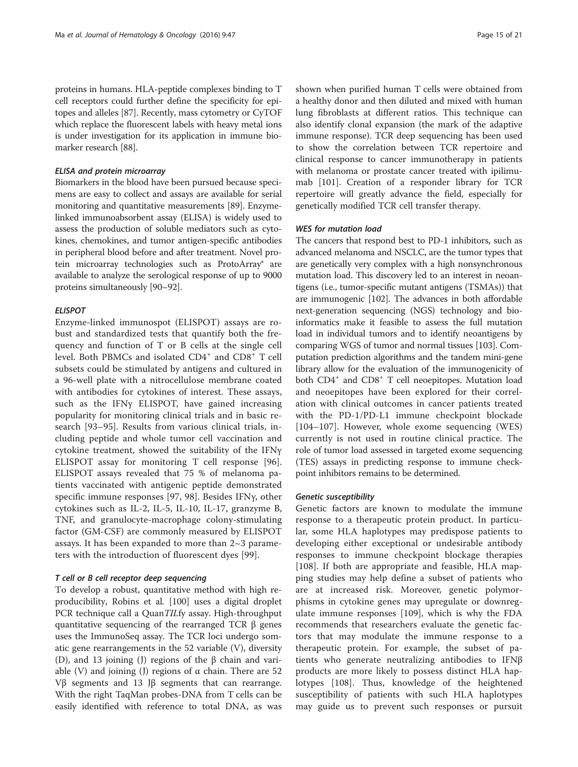proteins in humans. HLA-peptide complexes binding to T cell receptors could further define the specificity for epitopes and alleles [[87](#page-18-0)]. Recently, mass cytometry or CyTOF which replace the fluorescent labels with heavy metal ions is under investigation for its application in immune biomarker research [\[88\]](#page-18-0).

#### ELISA and protein microarray

Biomarkers in the blood have been pursued because specimens are easy to collect and assays are available for serial monitoring and quantitative measurements [\[89](#page-18-0)]. Enzymelinked immunoabsorbent assay (ELISA) is widely used to assess the production of soluble mediators such as cytokines, chemokines, and tumor antigen-specific antibodies in peripheral blood before and after treatment. Novel protein microarray technologies such as ProtoArray® are available to analyze the serological response of up to 9000 proteins simultaneously [\[90](#page-18-0)–[92](#page-18-0)].

#### **ELISPOT**

Enzyme-linked immunospot (ELISPOT) assays are robust and standardized tests that quantify both the frequency and function of T or B cells at the single cell level. Both PBMCs and isolated CD4<sup>+</sup> and CD8<sup>+</sup> T cell subsets could be stimulated by antigens and cultured in a 96-well plate with a nitrocellulose membrane coated with antibodies for cytokines of interest. These assays, such as the IFNγ ELISPOT, have gained increasing popularity for monitoring clinical trials and in basic research [\[93](#page-18-0)–[95\]](#page-18-0). Results from various clinical trials, including peptide and whole tumor cell vaccination and cytokine treatment, showed the suitability of the IFNγ ELISPOT assay for monitoring T cell response [\[96](#page-18-0)]. ELISPOT assays revealed that 75 % of melanoma patients vaccinated with antigenic peptide demonstrated specific immune responses [\[97](#page-18-0), [98\]](#page-18-0). Besides IFNγ, other cytokines such as IL-2, IL-5, IL-10, IL-17, granzyme B, TNF, and granulocyte-macrophage colony-stimulating factor (GM-CSF) are commonly measured by ELISPOT assays. It has been expanded to more than 2~3 parameters with the introduction of fluorescent dyes [[99\]](#page-18-0).

#### T cell or B cell receptor deep sequencing

To develop a robust, quantitative method with high reproducibility, Robins et al. [[100](#page-18-0)] uses a digital droplet PCR technique call a QuanTILfy assay. High-throughput quantitative sequencing of the rearranged TCR β genes uses the ImmunoSeq assay. The TCR loci undergo somatic gene rearrangements in the 52 variable (V), diversity (D), and 13 joining (J) regions of the β chain and variable (V) and joining (J) regions of α chain. There are 52 Vβ segments and 13 Jβ segments that can rearrange. With the right TaqMan probes-DNA from T cells can be easily identified with reference to total DNA, as was shown when purified human T cells were obtained from a healthy donor and then diluted and mixed with human lung fibroblasts at different ratios. This technique can also identify clonal expansion (the mark of the adaptive immune response). TCR deep sequencing has been used to show the correlation between TCR repertoire and clinical response to cancer immunotherapy in patients with melanoma or prostate cancer treated with ipilimumab [\[101](#page-18-0)]. Creation of a responder library for TCR repertoire will greatly advance the field, especially for genetically modified TCR cell transfer therapy.

#### WES for mutation load

The cancers that respond best to PD-1 inhibitors, such as advanced melanoma and NSCLC, are the tumor types that are genetically very complex with a high nonsynchronous mutation load. This discovery led to an interest in neoantigens (i.e., tumor-specific mutant antigens (TSMAs)) that are immunogenic [[102](#page-18-0)]. The advances in both affordable next-generation sequencing (NGS) technology and bioinformatics make it feasible to assess the full mutation load in individual tumors and to identify neoantigens by comparing WGS of tumor and normal tissues [\[103\]](#page-18-0). Computation prediction algorithms and the tandem mini-gene library allow for the evaluation of the immunogenicity of both CD4<sup>+</sup> and CD8<sup>+</sup> T cell neoepitopes. Mutation load and neoepitopes have been explored for their correlation with clinical outcomes in cancer patients treated with the PD-1/PD-L1 immune checkpoint blockade [[104](#page-18-0)–[107](#page-18-0)]. However, whole exome sequencing (WES) currently is not used in routine clinical practice. The role of tumor load assessed in targeted exome sequencing (TES) assays in predicting response to immune checkpoint inhibitors remains to be determined.

#### Genetic susceptibility

Genetic factors are known to modulate the immune response to a therapeutic protein product. In particular, some HLA haplotypes may predispose patients to developing either exceptional or undesirable antibody responses to immune checkpoint blockage therapies [[108](#page-19-0)]. If both are appropriate and feasible, HLA mapping studies may help define a subset of patients who are at increased risk. Moreover, genetic polymorphisms in cytokine genes may upregulate or downregulate immune responses [[109](#page-19-0)], which is why the FDA recommends that researchers evaluate the genetic factors that may modulate the immune response to a therapeutic protein. For example, the subset of patients who generate neutralizing antibodies to IFNβ products are more likely to possess distinct HLA haplotypes [[108\]](#page-19-0). Thus, knowledge of the heightened susceptibility of patients with such HLA haplotypes may guide us to prevent such responses or pursuit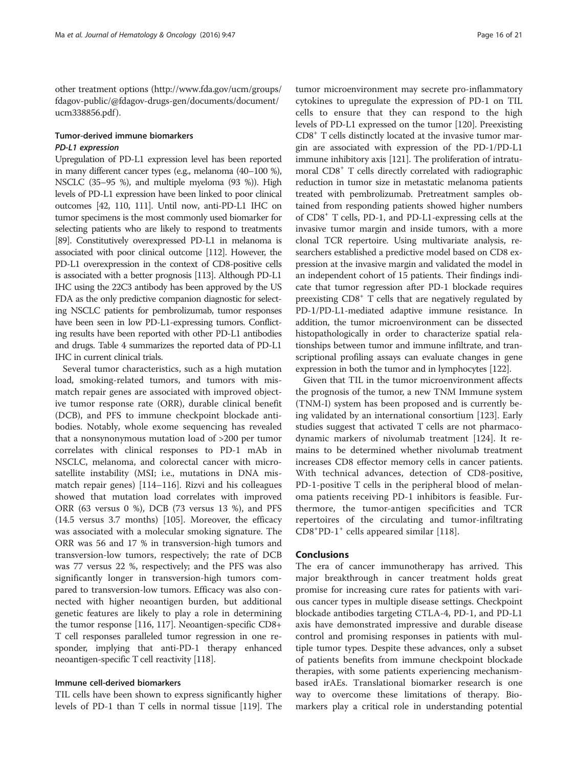other treatment options ([http://www.fda.gov/ucm/groups/](http://www.fda.gov/ucm/groups/fdagov-public/@fdagov-drugs-gen/documents/document/ucm338856.pdf) [fdagov-public/@fdagov-drugs-gen/documents/document/](http://www.fda.gov/ucm/groups/fdagov-public/@fdagov-drugs-gen/documents/document/ucm338856.pdf) [ucm338856.pdf](http://www.fda.gov/ucm/groups/fdagov-public/@fdagov-drugs-gen/documents/document/ucm338856.pdf) ).

# Tumor-derived immune biomarkers PD-L1 expression

Upregulation of PD-L1 expression level has been reported in many different cancer types (e.g., melanoma (40–100 %), NSCLC (35–95 %), and multiple myeloma (93 %)). High levels of PD-L1 expression have been linked to poor clinical outcomes [\[42](#page-17-0), [110](#page-19-0), [111\]](#page-19-0). Until now, anti-PD-L1 IHC on tumor specimens is the most commonly used biomarker for selecting patients who are likely to respond to treatments [[89](#page-18-0)]. Constitutively overexpressed PD-L1 in melanoma is associated with poor clinical outcome [\[112\]](#page-19-0). However, the PD-L1 overexpression in the context of CD8-positive cells is associated with a better prognosis [\[113](#page-19-0)]. Although PD-L1 IHC using the 22C3 antibody has been approved by the US FDA as the only predictive companion diagnostic for selecting NSCLC patients for pembrolizumab, tumor responses have been seen in low PD-L1-expressing tumors. Conflicting results have been reported with other PD-L1 antibodies and drugs. Table [4](#page-13-0) summarizes the reported data of PD-L1 IHC in current clinical trials.

Several tumor characteristics, such as a high mutation load, smoking-related tumors, and tumors with mismatch repair genes are associated with improved objective tumor response rate (ORR), durable clinical benefit (DCB), and PFS to immune checkpoint blockade antibodies. Notably, whole exome sequencing has revealed that a nonsynonymous mutation load of >200 per tumor correlates with clinical responses to PD-1 mAb in NSCLC, melanoma, and colorectal cancer with microsatellite instability (MSI; i.e., mutations in DNA mismatch repair genes) [\[114](#page-19-0)–[116\]](#page-19-0). Rizvi and his colleagues showed that mutation load correlates with improved ORR (63 versus 0 %), DCB (73 versus 13 %), and PFS (14.5 versus 3.7 months) [\[105\]](#page-18-0). Moreover, the efficacy was associated with a molecular smoking signature. The ORR was 56 and 17 % in transversion-high tumors and transversion-low tumors, respectively; the rate of DCB was 77 versus 22 %, respectively; and the PFS was also significantly longer in transversion-high tumors compared to transversion-low tumors. Efficacy was also connected with higher neoantigen burden, but additional genetic features are likely to play a role in determining the tumor response [[116](#page-19-0), [117\]](#page-19-0). Neoantigen-specific CD8+ T cell responses paralleled tumor regression in one responder, implying that anti-PD-1 therapy enhanced neoantigen-specific T cell reactivity [[118](#page-19-0)].

#### Immune cell-derived biomarkers

TIL cells have been shown to express significantly higher levels of PD-1 than T cells in normal tissue [\[119\]](#page-19-0). The

tumor microenvironment may secrete pro-inflammatory cytokines to upregulate the expression of PD-1 on TIL cells to ensure that they can respond to the high levels of PD-L1 expressed on the tumor [[120](#page-19-0)]. Preexisting CD8+ T cells distinctly located at the invasive tumor margin are associated with expression of the PD-1/PD-L1 immune inhibitory axis [\[121](#page-19-0)]. The proliferation of intratumoral CD8+ T cells directly correlated with radiographic reduction in tumor size in metastatic melanoma patients treated with pembrolizumab. Pretreatment samples obtained from responding patients showed higher numbers of CD8+ T cells, PD-1, and PD-L1-expressing cells at the invasive tumor margin and inside tumors, with a more clonal TCR repertoire. Using multivariate analysis, researchers established a predictive model based on CD8 expression at the invasive margin and validated the model in an independent cohort of 15 patients. Their findings indicate that tumor regression after PD-1 blockade requires preexisting CD8+ T cells that are negatively regulated by PD-1/PD-L1-mediated adaptive immune resistance. In addition, the tumor microenvironment can be dissected histopathologically in order to characterize spatial relationships between tumor and immune infiltrate, and transcriptional profiling assays can evaluate changes in gene expression in both the tumor and in lymphocytes [[122](#page-19-0)].

Given that TIL in the tumor microenvironment affects the prognosis of the tumor, a new TNM Immune system (TNM-I) system has been proposed and is currently being validated by an international consortium [[123](#page-19-0)]. Early studies suggest that activated T cells are not pharmacodynamic markers of nivolumab treatment [[124](#page-19-0)]. It remains to be determined whether nivolumab treatment increases CD8 effector memory cells in cancer patients. With technical advances, detection of CD8-positive, PD-1-positive T cells in the peripheral blood of melanoma patients receiving PD-1 inhibitors is feasible. Furthermore, the tumor-antigen specificities and TCR repertoires of the circulating and tumor-infiltrating CD8<sup>+</sup>PD-1<sup>+</sup> cells appeared similar [\[118](#page-19-0)].

#### **Conclusions**

The era of cancer immunotherapy has arrived. This major breakthrough in cancer treatment holds great promise for increasing cure rates for patients with various cancer types in multiple disease settings. Checkpoint blockade antibodies targeting CTLA-4, PD-1, and PD-L1 axis have demonstrated impressive and durable disease control and promising responses in patients with multiple tumor types. Despite these advances, only a subset of patients benefits from immune checkpoint blockade therapies, with some patients experiencing mechanismbased irAEs. Translational biomarker research is one way to overcome these limitations of therapy. Biomarkers play a critical role in understanding potential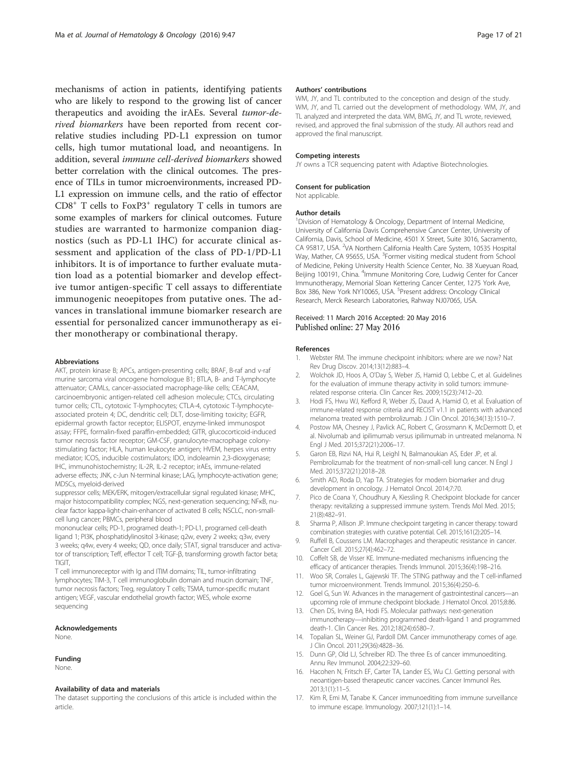<span id="page-16-0"></span>mechanisms of action in patients, identifying patients who are likely to respond to the growing list of cancer therapeutics and avoiding the irAEs. Several tumor-derived biomarkers have been reported from recent correlative studies including PD-L1 expression on tumor cells, high tumor mutational load, and neoantigens. In addition, several immune cell-derived biomarkers showed better correlation with the clinical outcomes. The presence of TILs in tumor microenvironments, increased PD-L1 expression on immune cells, and the ratio of effector  $CD8<sup>+</sup>$  T cells to FoxP3<sup>+</sup> regulatory T cells in tumors are some examples of markers for clinical outcomes. Future studies are warranted to harmonize companion diagnostics (such as PD-L1 IHC) for accurate clinical assessment and application of the class of PD-1/PD-L1 inhibitors. It is of importance to further evaluate mutation load as a potential biomarker and develop effective tumor antigen-specific T cell assays to differentiate immunogenic neoepitopes from putative ones. The advances in translational immune biomarker research are essential for personalized cancer immunotherapy as either monotherapy or combinational therapy.

#### Abbreviations

AKT, protein kinase B; APCs, antigen-presenting cells; BRAF, B-raf and v-raf murine sarcoma viral oncogene homologue B1; BTLA, B- and T-lymphocyte attenuator; CAMLs, cancer-associated macrophage-like cells; CEACAM, carcinoembryonic antigen-related cell adhesion molecule; CTCs, circulating tumor cells; CTL, cytotoxic T-lymphocytes; CTLA-4, cytotoxic T-lymphocyteassociated protein 4; DC, dendritic cell; DLT, dose-limiting toxicity; EGFR, epidermal growth factor receptor; ELISPOT, enzyme-linked immunospot assay; FFPE, formalin-fixed paraffin-embedded; GITR, glucocorticoid-induced tumor necrosis factor receptor; GM-CSF, granulocyte-macrophage colonystimulating factor; HLA, human leukocyte antigen; HVEM, herpes virus entry mediator; ICOS, inducible costimulators; IDO, indoleamin 2,3-dioxygenase; IHC, immunohistochemistry; IL-2R, IL-2 receptor; irAEs, immune-related adverse effects; JNK, c-Jun N-terminal kinase; LAG, lymphocyte-activation gene; MDSCs, myeloid-derived

suppressor cells; MEK/ERK, mitogen/extracellular signal regulated kinase; MHC, major histocompatibility complex; NGS, next-generation sequencing; NFKB, nuclear factor kappa-light-chain-enhancer of activated B cells; NSCLC, non-smallcell lung cancer; PBMCs, peripheral blood

mononuclear cells; PD-1, programed death-1; PD-L1, programed cell-death ligand 1; PI3K, phosphatidylinositol 3-kinase; q2w, every 2 weeks; q3w, every 3 weeks; q4w, every 4 weeks; QD, once daily; STAT, signal transducer and activator of transcription; Teff, effector T cell; TGF-β, transforming growth factor beta; TIGIT,

T cell immunoreceptor with Ig and ITIM domains; TIL, tumor-infiltrating lymphocytes; TIM-3, T cell immunoglobulin domain and mucin domain; TNF, tumor necrosis factors; Treg, regulatory T cells; TSMA, tumor-specific mutant antigen; VEGF, vascular endothelial growth factor; WES, whole exome sequencing

#### Acknowledgements

None.

#### Funding

None.

#### Availability of data and materials

The dataset supporting the conclusions of this article is included within the article.

#### Authors' contributions

WM, JY, and TL contributed to the conception and design of the study. WM, JY, and TL carried out the development of methodology. WM, JY, and TL analyzed and interpreted the data. WM, BMG, JY, and TL wrote, reviewed, revised, and approved the final submission of the study. All authors read and approved the final manuscript.

#### Competing interests

JY owns a TCR sequencing patent with Adaptive Biotechnologies.

#### Consent for publication

Not applicable.

#### Author details

<sup>1</sup> Division of Hematology & Oncology, Department of Internal Medicine, University of California Davis Comprehensive Cancer Center, University of California, Davis, School of Medicine, 4501 X Street, Suite 3016, Sacramento, CA 95817, USA. <sup>2</sup>VA Northern California Health Care System, 10535 Hospital Way, Mather, CA 95655, USA. <sup>3</sup>Former visiting medical student from School of Medicine, Peking University Health Science Center, No. 38 Xueyuan Road, Beijing 100191, China. <sup>4</sup>Immune Monitoring Core, Ludwig Center for Cancer Immunotherapy, Memorial Sloan Kettering Cancer Center, 1275 York Ave, Box 386, New York NY10065, USA. <sup>5</sup>Present address: Oncology Clinical Research, Merck Research Laboratories, Rahway NJ07065, USA.

#### Received: 11 March 2016 Accepted: 20 May 2016 Published online: 27 May 2016

#### References

- 1. Webster RM. The immune checkpoint inhibitors: where are we now? Nat Rev Drug Discov. 2014;13(12):883–4.
- 2. Wolchok JD, Hoos A, O'Day S, Weber JS, Hamid O, Lebbe C, et al. Guidelines for the evaluation of immune therapy activity in solid tumors: immunerelated response criteria. Clin Cancer Res. 2009;15(23):7412–20.
- 3. Hodi FS, Hwu WJ, Kefford R, Weber JS, Daud A, Hamid O, et al. Evaluation of immune-related response criteria and RECIST v1.1 in patients with advanced melanoma treated with pembrolizumab. J Clin Oncol. 2016;34(13):1510–7.
- 4. Postow MA, Chesney J, Pavlick AC, Robert C, Grossmann K, McDermott D, et al. Nivolumab and ipilimumab versus ipilimumab in untreated melanoma. N Engl J Med. 2015;372(21):2006–17.
- 5. Garon EB, Rizvi NA, Hui R, Leighl N, Balmanoukian AS, Eder JP, et al. Pembrolizumab for the treatment of non-small-cell lung cancer. N Engl J Med. 2015;372(21):2018–28.
- 6. Smith AD, Roda D, Yap TA. Strategies for modern biomarker and drug development in oncology. J Hematol Oncol. 2014;7:70.
- 7. Pico de Coana Y, Choudhury A, Kiessling R. Checkpoint blockade for cancer therapy: revitalizing a suppressed immune system. Trends Mol Med. 2015; 21(8):482–91.
- 8. Sharma P, Allison JP. Immune checkpoint targeting in cancer therapy: toward combination strategies with curative potential. Cell. 2015;161(2):205–14.
- 9. Ruffell B, Coussens LM. Macrophages and therapeutic resistance in cancer. Cancer Cell. 2015;27(4):462–72.
- 10. Coffelt SB, de Visser KE. Immune-mediated mechanisms influencing the efficacy of anticancer therapies. Trends Immunol. 2015;36(4):198–216.
- 11. Woo SR, Corrales L, Gajewski TF. The STING pathway and the T cell-inflamed tumor microenvironment. Trends Immunol. 2015;36(4):250–6.
- 12. Goel G, Sun W. Advances in the management of gastrointestinal cancers—an upcoming role of immune checkpoint blockade. J Hematol Oncol. 2015;8:86.
- 13. Chen DS, Irving BA, Hodi FS. Molecular pathways: next-generation immunotherapy—inhibiting programmed death-ligand 1 and programmed death-1. Clin Cancer Res. 2012;18(24):6580–7.
- 14. Topalian SL, Weiner GJ, Pardoll DM. Cancer immunotherapy comes of age. J Clin Oncol. 2011;29(36):4828–36.
- 15. Dunn GP, Old LJ, Schreiber RD. The three Es of cancer immunoediting. Annu Rev Immunol. 2004;22:329–60.
- 16. Hacohen N, Fritsch EF, Carter TA, Lander ES, Wu CJ. Getting personal with neoantigen-based therapeutic cancer vaccines. Cancer Immunol Res. 2013;1(1):11–5.
- 17. Kim R, Emi M, Tanabe K. Cancer immunoediting from immune surveillance to immune escape. Immunology. 2007;121(1):1–14.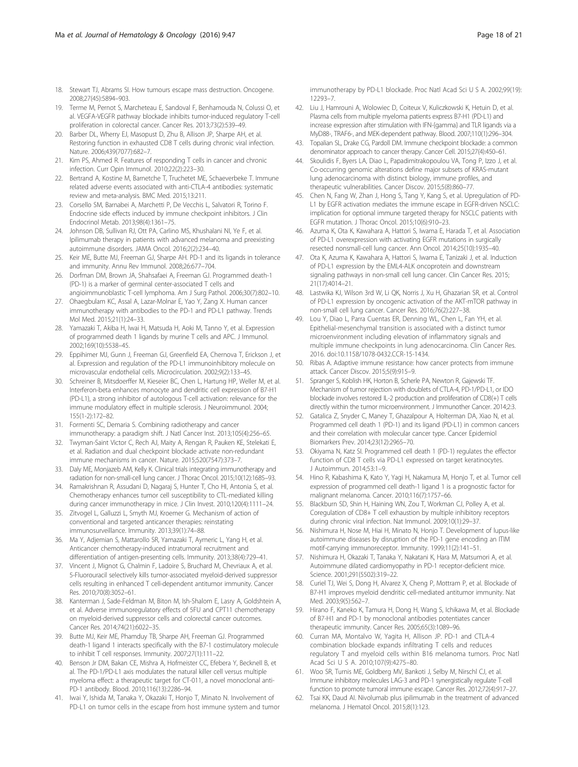- <span id="page-17-0"></span>18. Stewart TJ, Abrams SI. How tumours escape mass destruction. Oncogene. 2008;27(45):5894–903.
- 19. Terme M, Pernot S, Marcheteau E, Sandoval F, Benhamouda N, Colussi O, et al. VEGFA-VEGFR pathway blockade inhibits tumor-induced regulatory T-cell proliferation in colorectal cancer. Cancer Res. 2013;73(2):539–49.
- 20. Barber DL, Wherry EJ, Masopust D, Zhu B, Allison JP, Sharpe AH, et al. Restoring function in exhausted CD8 T cells during chronic viral infection. Nature. 2006;439(7077):682–7.
- 21. Kim PS, Ahmed R. Features of responding T cells in cancer and chronic infection. Curr Opin Immunol. 2010;22(2):223–30.
- 22. Bertrand A, Kostine M, Barnetche T, Truchetet ME, Schaeverbeke T. Immune related adverse events associated with anti-CTLA-4 antibodies: systematic review and meta-analysis. BMC Med. 2015;13:211.
- 23. Corsello SM, Barnabei A, Marchetti P, De Vecchis L, Salvatori R, Torino F. Endocrine side effects induced by immune checkpoint inhibitors. J Clin Endocrinol Metab. 2013;98(4):1361–75.
- 24. Johnson DB, Sullivan RJ, Ott PA, Carlino MS, Khushalani NI, Ye F, et al. Ipilimumab therapy in patients with advanced melanoma and preexisting autoimmune disorders. JAMA Oncol. 2016;2(2):234–40.
- 25. Keir ME, Butte MJ, Freeman GJ, Sharpe AH. PD-1 and its ligands in tolerance and immunity. Annu Rev Immunol. 2008;26:677–704.
- 26. Dorfman DM, Brown JA, Shahsafaei A, Freeman GJ. Programmed death-1 (PD-1) is a marker of germinal center-associated T cells and
- angioimmunoblastic T-cell lymphoma. Am J Surg Pathol. 2006;30(7):802–10. 27. Ohaegbulam KC, Assal A, Lazar-Molnar E, Yao Y, Zang X. Human cancer
- immunotherapy with antibodies to the PD-1 and PD-L1 pathway. Trends Mol Med. 2015;21(1):24–33. 28. Yamazaki T, Akiba H, Iwai H, Matsuda H, Aoki M, Tanno Y, et al. Expression
- of programmed death 1 ligands by murine T cells and APC. J Immunol. 2002;169(10):5538–45.
- 29. Eppihimer MJ, Gunn J, Freeman GJ, Greenfield EA, Chernova T, Erickson J, et al. Expression and regulation of the PD-L1 immunoinhibitory molecule on microvascular endothelial cells. Microcirculation. 2002;9(2):133–45.
- 30. Schreiner B, Mitsdoerffer M, Kieseier BC, Chen L, Hartung HP, Weller M, et al. Interferon-beta enhances monocyte and dendritic cell expression of B7-H1 (PD-L1), a strong inhibitor of autologous T-cell activation: relevance for the immune modulatory effect in multiple sclerosis. J Neuroimmunol. 2004; 155(1-2):172–82.
- 31. Formenti SC, Demaria S. Combining radiotherapy and cancer immunotherapy: a paradigm shift. J Natl Cancer Inst. 2013;105(4):256–65.
- 32. Twyman-Saint Victor C, Rech AJ, Maity A, Rengan R, Pauken KE, Stelekati E, et al. Radiation and dual checkpoint blockade activate non-redundant immune mechanisms in cancer. Nature. 2015;520(7547):373–7.
- 33. Daly ME, Monjazeb AM, Kelly K. Clinical trials integrating immunotherapy and radiation for non-small-cell lung cancer. J Thorac Oncol. 2015;10(12):1685–93.
- 34. Ramakrishnan R, Assudani D, Nagaraj S, Hunter T, Cho HI, Antonia S, et al. Chemotherapy enhances tumor cell susceptibility to CTL-mediated killing during cancer immunotherapy in mice. J Clin Invest. 2010;120(4):1111–24.
- 35. Zitvogel L, Galluzzi L, Smyth MJ, Kroemer G. Mechanism of action of conventional and targeted anticancer therapies: reinstating immunosurveillance. Immunity. 2013;39(1):74–88.
- 36. Ma Y, Adjemian S, Mattarollo SR, Yamazaki T, Aymeric L, Yang H, et al. Anticancer chemotherapy-induced intratumoral recruitment and differentiation of antigen-presenting cells. Immunity. 2013;38(4):729–41.
- 37. Vincent J, Mignot G, Chalmin F, Ladoire S, Bruchard M, Chevriaux A, et al. 5-Fluorouracil selectively kills tumor-associated myeloid-derived suppressor cells resulting in enhanced T cell-dependent antitumor immunity. Cancer Res. 2010;70(8):3052–61.
- 38. Kanterman J, Sade-Feldman M, Biton M, Ish-Shalom E, Lasry A, Goldshtein A, et al. Adverse immunoregulatory effects of 5FU and CPT11 chemotherapy on myeloid-derived suppressor cells and colorectal cancer outcomes. Cancer Res. 2014;74(21):6022–35.
- 39. Butte MJ, Keir ME, Phamduy TB, Sharpe AH, Freeman GJ. Programmed death-1 ligand 1 interacts specifically with the B7-1 costimulatory molecule to inhibit T cell responses. Immunity. 2007;27(1):111–22.
- 40. Benson Jr DM, Bakan CE, Mishra A, Hofmeister CC, Efebera Y, Becknell B, et al. The PD-1/PD-L1 axis modulates the natural killer cell versus multiple myeloma effect: a therapeutic target for CT-011, a novel monoclonal anti-PD-1 antibody. Blood. 2010;116(13):2286–94.
- 41. Iwai Y, Ishida M, Tanaka Y, Okazaki T, Honjo T, Minato N. Involvement of PD-L1 on tumor cells in the escape from host immune system and tumor

immunotherapy by PD-L1 blockade. Proc Natl Acad Sci U S A. 2002;99(19): 12293–7.

- 42. Liu J, Hamrouni A, Wolowiec D, Coiteux V, Kuliczkowski K, Hetuin D, et al. Plasma cells from multiple myeloma patients express B7-H1 (PD-L1) and increase expression after stimulation with IFN-{gamma} and TLR ligands via a MyD88-, TRAF6-, and MEK-dependent pathway. Blood. 2007;110(1):296–304.
- 43. Topalian SL, Drake CG, Pardoll DM. Immune checkpoint blockade: a common denominator approach to cancer therapy. Cancer Cell. 2015;27(4):450–61.
- 44. Skoulidis F, Byers LA, Diao L, Papadimitrakopoulou VA, Tong P, Izzo J, et al. Co-occurring genomic alterations define major subsets of KRAS-mutant lung adenocarcinoma with distinct biology, immune profiles, and therapeutic vulnerabilities. Cancer Discov. 2015;5(8):860–77.
- 45. Chen N, Fang W, Zhan J, Hong S, Tang Y, Kang S, et al. Upregulation of PD-L1 by EGFR activation mediates the immune escape in EGFR-driven NSCLC: implication for optional immune targeted therapy for NSCLC patients with EGFR mutation. J Thorac Oncol. 2015;10(6):910–23.
- 46. Azuma K, Ota K, Kawahara A, Hattori S, Iwama E, Harada T, et al. Association of PD-L1 overexpression with activating EGFR mutations in surgically resected nonsmall-cell lung cancer. Ann Oncol. 2014;25(10):1935–40.
- 47. Ota K, Azuma K, Kawahara A, Hattori S, Iwama E, Tanizaki J, et al. Induction of PD-L1 expression by the EML4-ALK oncoprotein and downstream signaling pathways in non-small cell lung cancer. Clin Cancer Res. 2015; 21(17):4014–21.
- 48. Lastwika KJ, Wilson 3rd W, Li QK, Norris J, Xu H, Ghazarian SR, et al. Control of PD-L1 expression by oncogenic activation of the AKT-mTOR pathway in non-small cell lung cancer. Cancer Res. 2016;76(2):227–38.
- 49. Lou Y, Diao L, Parra Cuentas ER, Denning WL, Chen L, Fan YH, et al. Epithelial-mesenchymal transition is associated with a distinct tumor microenvironment including elevation of inflammatory signals and multiple immune checkpoints in lung adenocarcinoma. Clin Cancer Res. 2016. doi:[10.1158/1078-0432.CCR-15-1434](http://dx.doi.org/10.1158/1078-0432.CCR-15-1434).
- 50. Ribas A. Adaptive immune resistance: how cancer protects from immune attack. Cancer Discov. 2015;5(9):915–9.
- 51. Spranger S, Koblish HK, Horton B, Scherle PA, Newton R, Gajewski TF. Mechanism of tumor rejection with doublets of CTLA-4, PD-1/PD-L1, or IDO blockade involves restored IL-2 production and proliferation of CD8(+) T cells directly within the tumor microenvironment. J Immunother Cancer. 2014;2:3.
- 52. Gatalica Z, Snyder C, Maney T, Ghazalpour A, Holterman DA, Xiao N, et al. Programmed cell death 1 (PD-1) and its ligand (PD-L1) in common cancers and their correlation with molecular cancer type. Cancer Epidemiol Biomarkers Prev. 2014;23(12):2965–70.
- 53. Okiyama N, Katz SI. Programmed cell death 1 (PD-1) regulates the effector function of CD8 T cells via PD-L1 expressed on target keratinocytes. J Autoimmun. 2014;53:1–9.
- 54. Hino R, Kabashima K, Kato Y, Yagi H, Nakamura M, Honjo T, et al. Tumor cell expression of programmed cell death-1 ligand 1 is a prognostic factor for malignant melanoma. Cancer. 2010;116(7):1757–66.
- 55. Blackburn SD, Shin H, Haining WN, Zou T, Workman CJ, Polley A, et al. Coregulation of CD8+ T cell exhaustion by multiple inhibitory receptors during chronic viral infection. Nat Immunol. 2009;10(1):29–37.
- 56. Nishimura H, Nose M, Hiai H, Minato N, Honjo T. Development of lupus-like autoimmune diseases by disruption of the PD-1 gene encoding an ITIM motif-carrying immunoreceptor. Immunity. 1999;11(2):141–51.
- 57. Nishimura H, Okazaki T, Tanaka Y, Nakatani K, Hara M, Matsumori A, et al. Autoimmune dilated cardiomyopathy in PD-1 receptor-deficient mice. Science. 2001;291(5502):319–22.
- 58. Curiel TJ, Wei S, Dong H, Alvarez X, Cheng P, Mottram P, et al. Blockade of B7-H1 improves myeloid dendritic cell-mediated antitumor immunity. Nat Med. 2003;9(5):562–7.
- 59. Hirano F, Kaneko K, Tamura H, Dong H, Wang S, Ichikawa M, et al. Blockade of B7-H1 and PD-1 by monoclonal antibodies potentiates cancer therapeutic immunity. Cancer Res. 2005;65(3):1089–96.
- 60. Curran MA, Montalvo W, Yagita H, Allison JP. PD-1 and CTLA-4 combination blockade expands infiltrating T cells and reduces regulatory T and myeloid cells within B16 melanoma tumors. Proc Natl Acad Sci U S A. 2010;107(9):4275–80.
- 61. Woo SR, Turnis ME, Goldberg MV, Bankoti J, Selby M, Nirschl CJ, et al. Immune inhibitory molecules LAG-3 and PD-1 synergistically regulate T-cell function to promote tumoral immune escape. Cancer Res. 2012;72(4):917–27.
- 62. Tsai KK, Daud AI. Nivolumab plus ipilimumab in the treatment of advanced melanoma. J Hematol Oncol. 2015;8(1):123.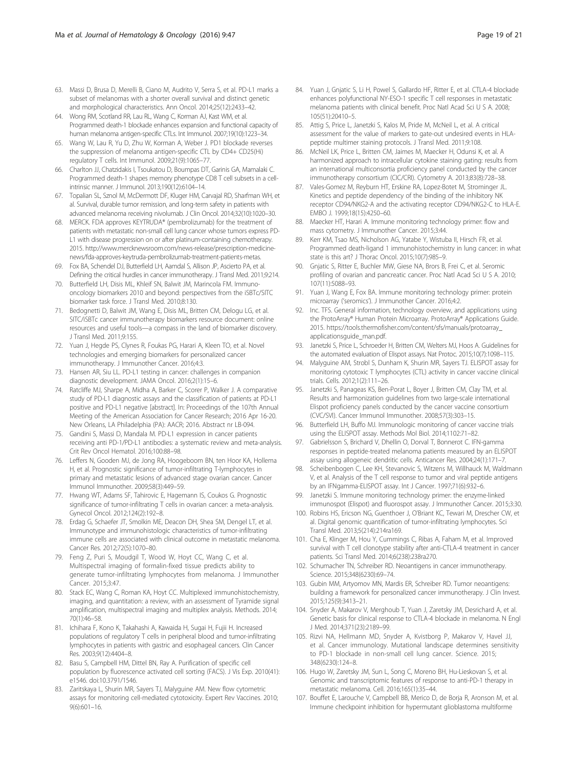- <span id="page-18-0"></span>63. Massi D, Brusa D, Merelli B, Ciano M, Audrito V, Serra S, et al. PD-L1 marks a subset of melanomas with a shorter overall survival and distinct genetic and morphological characteristics. Ann Oncol. 2014;25(12):2433–42.
- 64. Wong RM, Scotland RR, Lau RL, Wang C, Korman AJ, Kast WM, et al. Programmed death-1 blockade enhances expansion and functional capacity of human melanoma antigen-specific CTLs. Int Immunol. 2007;19(10):1223–34.
- 65. Wang W, Lau R, Yu D, Zhu W, Korman A, Weber J. PD1 blockade reverses the suppression of melanoma antigen-specific CTL by CD4+ CD25(Hi) regulatory T cells. Int Immunol. 2009;21(9):1065–77.
- 66. Charlton JJ, Chatzidakis I, Tsoukatou D, Boumpas DT, Garinis GA, Mamalaki C. Programmed death-1 shapes memory phenotype CD8 T cell subsets in a cellintrinsic manner. J Immunol. 2013;190(12):6104–14.
- 67. Topalian SL, Sznol M, McDermott DF, Kluger HM, Carvajal RD, Sharfman WH, et al. Survival, durable tumor remission, and long-term safety in patients with advanced melanoma receiving nivolumab. J Clin Oncol. 2014;32(10):1020–30.
- 68. MERCK. FDA approves KEYTRUDA® (pembrolizumab) for the treatment of patients with metastatic non-small cell lung cancer whose tumors express PD-L1 with disease progression on or after platinum-containing chemotherapy. 2015. [http://www.mercknewsroom.com/news-release/prescription-medicine](http://www.mercknewsroom.com/news-release/prescription-medicine-news/fda-approves-keytruda-pembrolizumab-treatment-patients-metas)[news/fda-approves-keytruda-pembrolizumab-treatment-patients-metas.](http://www.mercknewsroom.com/news-release/prescription-medicine-news/fda-approves-keytruda-pembrolizumab-treatment-patients-metas)
- 69. Fox BA, Schendel DJ, Butterfield LH, Aamdal S, Allison JP, Ascierto PA, et al. Defining the critical hurdles in cancer immunotherapy. J Transl Med. 2011;9:214.
- 70. Butterfield LH, Disis ML, Khleif SN, Balwit JM, Marincola FM. Immunooncology biomarkers 2010 and beyond: perspectives from the iSBTc/SITC biomarker task force. J Transl Med. 2010;8:130.
- 71. Bedognetti D, Balwit JM, Wang E, Disis ML, Britten CM, Delogu LG, et al. SITC/iSBTc cancer immunotherapy biomarkers resource document: online resources and useful tools—a compass in the land of biomarker discovery. J Transl Med. 2011;9:155.
- 72. Yuan J, Hegde PS, Clynes R, Foukas PG, Harari A, Kleen TO, et al. Novel technologies and emerging biomarkers for personalized cancer immunotherapy. J Immunother Cancer. 2016;4:3.
- 73. Hansen AR, Siu LL. PD-L1 testing in cancer: challenges in companion diagnostic development. JAMA Oncol. 2016;2(1):15–6.
- 74. Ratcliffe MJ, Sharpe A, Midha A, Barker C, Scorer P, Walker J. A comparative study of PD-L1 diagnostic assays and the classification of patients at PD-L1 positive and PD-L1 negative [abstract]. In: Proceedings of the 107th Annual Meeting of the American Association for Cancer Research; 2016 Apr 16-20. New Orleans, LA Philadelphia (PA): AACR; 2016. Abstract nr LB-094.
- 75. Gandini S, Massi D, Mandala M. PD-L1 expression in cancer patients receiving anti PD-1/PD-L1 antibodies: a systematic review and meta-analysis. Crit Rev Oncol Hematol. 2016;100:88–98.
- 76. Leffers N, Gooden MJ, de Jong RA, Hoogeboom BN, ten Hoor KA, Hollema H, et al. Prognostic significance of tumor-infiltrating T-lymphocytes in primary and metastatic lesions of advanced stage ovarian cancer. Cancer Immunol Immunother. 2009;58(3):449–59.
- 77. Hwang WT, Adams SF, Tahirovic E, Hagemann IS, Coukos G. Prognostic significance of tumor-infiltrating T cells in ovarian cancer: a meta-analysis. Gynecol Oncol. 2012;124(2):192–8.
- 78. Erdag G, Schaefer JT, Smolkin ME, Deacon DH, Shea SM, Dengel LT, et al. Immunotype and immunohistologic characteristics of tumor-infiltrating immune cells are associated with clinical outcome in metastatic melanoma. Cancer Res. 2012;72(5):1070–80.
- 79. Feng Z, Puri S, Moudgil T, Wood W, Hoyt CC, Wang C, et al. Multispectral imaging of formalin-fixed tissue predicts ability to generate tumor-infiltrating lymphocytes from melanoma. J Immunother Cancer. 2015;3:47.
- 80. Stack EC, Wang C, Roman KA, Hoyt CC. Multiplexed immunohistochemistry, imaging, and quantitation: a review, with an assessment of Tyramide signal amplification, multispectral imaging and multiplex analysis. Methods. 2014; 70(1):46–58.
- 81. Ichihara F, Kono K, Takahashi A, Kawaida H, Sugai H, Fujii H. Increased populations of regulatory T cells in peripheral blood and tumor-infiltrating lymphocytes in patients with gastric and esophageal cancers. Clin Cancer Res. 2003;9(12):4404–8.
- 82. Basu S, Campbell HM, Dittel BN, Ray A. Purification of specific cell population by fluorescence activated cell sorting (FACS). J Vis Exp. 2010(41): e1546. doi[:10.3791/1546](http://dx.doi.org/10.3791/1546).
- 83. Zaritskaya L, Shurin MR, Sayers TJ, Malyguine AM. New flow cytometric assays for monitoring cell-mediated cytotoxicity. Expert Rev Vaccines. 2010; 9(6):601–16.
- 84. Yuan J, Gnjatic S, Li H, Powel S, Gallardo HF, Ritter E, et al. CTLA-4 blockade enhances polyfunctional NY-ESO-1 specific T cell responses in metastatic melanoma patients with clinical benefit. Proc Natl Acad Sci U S A. 2008; 105(51):20410–5.
- 85. Attig S, Price L, Janetzki S, Kalos M, Pride M, McNeil L, et al. A critical assessment for the value of markers to gate-out undesired events in HLApeptide multimer staining protocols. J Transl Med. 2011;9:108.
- 86. McNeil LK, Price L, Britten CM, Jaimes M, Maecker H, Odunsi K, et al. A harmonized approach to intracellular cytokine staining gating: results from an international multiconsortia proficiency panel conducted by the cancer immunotherapy consortium (CIC/CRI). Cytometry A. 2013;83(8):728–38.
- 87. Vales-Gomez M, Reyburn HT, Erskine RA, Lopez-Botet M, Strominger JL. Kinetics and peptide dependency of the binding of the inhibitory NK receptor CD94/NKG2-A and the activating receptor CD94/NKG2-C to HLA-E. EMBO J. 1999;18(15):4250–60.
- 88. Maecker HT, Harari A. Immune monitoring technology primer: flow and mass cytometry. J Immunother Cancer. 2015;3:44.
- 89. Kerr KM, Tsao MS, Nicholson AG, Yatabe Y, Wistuba II, Hirsch FR, et al. Programmed death-ligand 1 immunohistochemistry in lung cancer: in what state is this art? J Thorac Oncol. 2015;10(7):985–9.
- 90. Gnjatic S, Ritter E, Buchler MW, Giese NA, Brors B, Frei C, et al. Seromic profiling of ovarian and pancreatic cancer. Proc Natl Acad Sci U S A. 2010; 107(11):5088–93.
- 91. Yuan J, Wang E, Fox BA. Immune monitoring technology primer: protein microarray ('seromics'). J Immunother Cancer. 2016;4:2.
- 92. Inc. TFS. General information, technology overview, and applications using the ProtoArray® Human Protein Microarray. ProtoArray® Applications Guide. 2015. [https://tools.thermofisher.com/content/sfs/manuals/protoarray\\_](https://tools.thermofisher.com/content/sfs/manuals/protoarray_applicationsguide_man.pdf) [applicationsguide\\_man.pdf](https://tools.thermofisher.com/content/sfs/manuals/protoarray_applicationsguide_man.pdf).
- 93. Janetzki S, Price L, Schroeder H, Britten CM, Welters MJ, Hoos A. Guidelines for the automated evaluation of Elispot assays. Nat Protoc. 2015;10(7):1098–115.
- 94. Malyguine AM, Strobl S, Dunham K, Shurin MR, Sayers TJ. ELISPOT assay for monitoring cytotoxic T lymphocytes (CTL) activity in cancer vaccine clinical trials. Cells. 2012;1(2):111–26.
- 95. Janetzki S, Panageas KS, Ben-Porat L, Boyer J, Britten CM, Clay TM, et al. Results and harmonization guidelines from two large-scale international Elispot proficiency panels conducted by the cancer vaccine consortium (CVC/SVI). Cancer Immunol Immunother. 2008;57(3):303–15.
- 96. Butterfield LH, Buffo MJ. Immunologic monitoring of cancer vaccine trials using the ELISPOT assay. Methods Mol Biol. 2014;1102:71–82.
- 97. Gabrielsson S, Brichard V, Dhellin O, Dorval T, Bonnerot C. IFN-gamma responses in peptide-treated melanoma patients measured by an ELISPOT assay using allogeneic dendritic cells. Anticancer Res. 2004;24(1):171–7.
- 98. Scheibenbogen C, Lee KH, Stevanovic S, Witzens M, Willhauck M, Waldmann V, et al. Analysis of the T cell response to tumor and viral peptide antigens by an IFNgamma-ELISPOT assay. Int J Cancer. 1997;71(6):932–6.
- Janetzki S. Immune monitoring technology primer: the enzyme-linked immunospot (Elispot) and fluorospot assay. J Immunother Cancer. 2015;3:30.
- 100. Robins HS, Ericson NG, Guenthoer J, O'Briant KC, Tewari M, Drescher CW, et al. Digital genomic quantification of tumor-infiltrating lymphocytes. Sci Transl Med. 2013;5(214):214ra169.
- 101. Cha E, Klinger M, Hou Y, Cummings C, Ribas A, Faham M, et al. Improved survival with T cell clonotype stability after anti-CTLA-4 treatment in cancer patients. Sci Transl Med. 2014;6(238):238ra270.
- 102. Schumacher TN, Schreiber RD. Neoantigens in cancer immunotherapy. Science. 2015;348(6230):69–74.
- 103. Gubin MM, Artyomov MN, Mardis ER, Schreiber RD. Tumor neoantigens: building a framework for personalized cancer immunotherapy. J Clin Invest. 2015;125(9):3413–21.
- 104. Snyder A, Makarov V, Merghoub T, Yuan J, Zaretsky JM, Desrichard A, et al. Genetic basis for clinical response to CTLA-4 blockade in melanoma. N Engl J Med. 2014;371(23):2189–99.
- 105. Rizvi NA, Hellmann MD, Snyder A, Kvistborg P, Makarov V, Havel JJ, et al. Cancer immunology. Mutational landscape determines sensitivity to PD-1 blockade in non-small cell lung cancer. Science. 2015; 348(6230):124–8.
- 106. Hugo W, Zaretsky JM, Sun L, Song C, Moreno BH, Hu-Lieskovan S, et al. Genomic and transcriptomic features of response to anti-PD-1 therapy in metastatic melanoma. Cell. 2016;165(1):35–44.
- 107. Bouffet E, Larouche V, Campbell BB, Merico D, de Borja R, Aronson M, et al. Immune checkpoint inhibition for hypermutant glioblastoma multiforme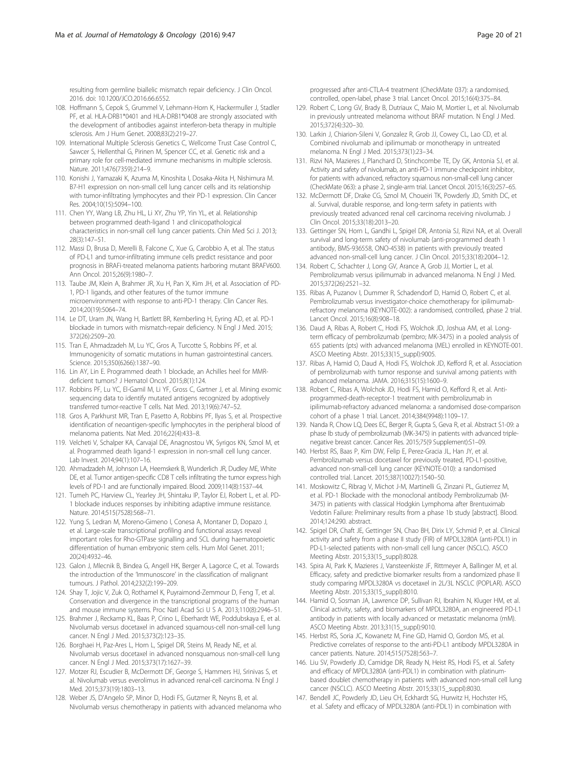<span id="page-19-0"></span>resulting from germline biallelic mismatch repair deficiency. J Clin Oncol. 2016. doi: [10.1200/JCO.2016.66.6552](http://dx.doi.org/10.1200/JCO.2016.66.6552).

- 108. Hoffmann S, Cepok S, Grummel V, Lehmann-Horn K, Hackermuller J, Stadler PF, et al. HLA-DRB1\*0401 and HLA-DRB1\*0408 are strongly associated with the development of antibodies against interferon-beta therapy in multiple sclerosis. Am J Hum Genet. 2008;83(2):219–27.
- 109. International Multiple Sclerosis Genetics C, Wellcome Trust Case Control C, Sawcer S, Hellenthal G, Pirinen M, Spencer CC, et al. Genetic risk and a primary role for cell-mediated immune mechanisms in multiple sclerosis. Nature. 2011;476(7359):214–9.
- 110. Konishi J, Yamazaki K, Azuma M, Kinoshita I, Dosaka-Akita H, Nishimura M. B7-H1 expression on non-small cell lung cancer cells and its relationship with tumor-infiltrating lymphocytes and their PD-1 expression. Clin Cancer Res. 2004;10(15):5094–100.
- 111. Chen YY, Wang LB, Zhu HL, Li XY, Zhu YP, Yin YL, et al. Relationship between programmed death-ligand 1 and clinicopathological characteristics in non-small cell lung cancer patients. Chin Med Sci J. 2013; 28(3):147–51.
- 112. Massi D, Brusa D, Merelli B, Falcone C, Xue G, Carobbio A, et al. The status of PD-L1 and tumor-infiltrating immune cells predict resistance and poor prognosis in BRAFi-treated melanoma patients harboring mutant BRAFV600. Ann Oncol. 2015;26(9):1980–7.
- 113. Taube JM, Klein A, Brahmer JR, Xu H, Pan X, Kim JH, et al. Association of PD-1, PD-1 ligands, and other features of the tumor immune microenvironment with response to anti-PD-1 therapy. Clin Cancer Res. 2014;20(19):5064–74.
- 114. Le DT, Uram JN, Wang H, Bartlett BR, Kemberling H, Eyring AD, et al. PD-1 blockade in tumors with mismatch-repair deficiency. N Engl J Med. 2015; 372(26):2509–20.
- 115. Tran E, Ahmadzadeh M, Lu YC, Gros A, Turcotte S, Robbins PF, et al. Immunogenicity of somatic mutations in human gastrointestinal cancers. Science. 2015;350(6266):1387–90.
- 116. Lin AY, Lin E. Programmed death 1 blockade, an Achilles heel for MMRdeficient tumors? J Hematol Oncol. 2015;8(1):124.
- 117. Robbins PF, Lu YC, El-Gamil M, Li YF, Gross C, Gartner J, et al. Mining exomic sequencing data to identify mutated antigens recognized by adoptively transferred tumor-reactive T cells. Nat Med. 2013;19(6):747–52.
- 118. Gros A, Parkhurst MR, Tran E, Pasetto A, Robbins PF, Ilyas S, et al. Prospective identification of neoantigen-specific lymphocytes in the peripheral blood of melanoma patients. Nat Med. 2016;22(4):433–8.
- 119. Velcheti V, Schalper KA, Carvajal DE, Anagnostou VK, Syrigos KN, Sznol M, et al. Programmed death ligand-1 expression in non-small cell lung cancer. Lab Invest. 2014;94(1):107–16.
- 120. Ahmadzadeh M, Johnson LA, Heemskerk B, Wunderlich JR, Dudley ME, White DE, et al. Tumor antigen-specific CD8 T cells infiltrating the tumor express high levels of PD-1 and are functionally impaired. Blood. 2009;114(8):1537–44.
- 121. Tumeh PC, Harview CL, Yearley JH, Shintaku IP, Taylor EJ, Robert L, et al. PD-1 blockade induces responses by inhibiting adaptive immune resistance. Nature. 2014;515(7528):568–71.
- 122. Yung S, Ledran M, Moreno-Gimeno I, Conesa A, Montaner D, Dopazo J, et al. Large-scale transcriptional profiling and functional assays reveal important roles for Rho-GTPase signalling and SCL during haematopoietic differentiation of human embryonic stem cells. Hum Mol Genet. 2011; 20(24):4932–46.
- 123. Galon J, Mlecnik B, Bindea G, Angell HK, Berger A, Lagorce C, et al. Towards the introduction of the 'Immunoscore' in the classification of malignant tumours. J Pathol. 2014;232(2):199–209.
- 124. Shay T, Jojic V, Zuk O, Rothamel K, Puyraimond-Zemmour D, Feng T, et al. Conservation and divergence in the transcriptional programs of the human and mouse immune systems. Proc Natl Acad Sci U S A. 2013;110(8):2946–51.
- 125. Brahmer J, Reckamp KL, Baas P, Crino L, Eberhardt WE, Poddubskaya E, et al. Nivolumab versus docetaxel in advanced squamous-cell non-small-cell lung cancer. N Engl J Med. 2015;373(2):123–35.
- 126. Borghaei H, Paz-Ares L, Horn L, Spigel DR, Steins M, Ready NE, et al. Nivolumab versus docetaxel in advanced nonsquamous non-small-cell lung cancer. N Engl J Med. 2015;373(17):1627–39.
- 127. Motzer RJ, Escudier B, McDermott DF, George S, Hammers HJ, Srinivas S, et al. Nivolumab versus everolimus in advanced renal-cell carcinoma. N Engl J Med. 2015;373(19):1803–13.
- 128. Weber JS, D'Angelo SP, Minor D, Hodi FS, Gutzmer R, Neyns B, et al. Nivolumab versus chemotherapy in patients with advanced melanoma who

progressed after anti-CTLA-4 treatment (CheckMate 037): a randomised, controlled, open-label, phase 3 trial. Lancet Oncol. 2015;16(4):375–84.

- 129. Robert C, Long GV, Brady B, Dutriaux C, Maio M, Mortier L, et al. Nivolumab in previously untreated melanoma without BRAF mutation. N Engl J Med. 2015;372(4):320–30.
- 130. Larkin J, Chiarion-Sileni V, Gonzalez R, Grob JJ, Cowey CL, Lao CD, et al. Combined nivolumab and ipilimumab or monotherapy in untreated melanoma. N Engl J Med. 2015;373(1):23–34.
- 131. Rizvi NA, Mazieres J, Planchard D, Stinchcombe TE, Dy GK, Antonia SJ, et al. Activity and safety of nivolumab, an anti-PD-1 immune checkpoint inhibitor, for patients with advanced, refractory squamous non-small-cell lung cancer (CheckMate 063): a phase 2, single-arm trial. Lancet Oncol. 2015;16(3):257–65.
- 132. McDermott DF, Drake CG, Sznol M, Choueiri TK, Powderly JD, Smith DC, et al. Survival, durable response, and long-term safety in patients with previously treated advanced renal cell carcinoma receiving nivolumab. J Clin Oncol. 2015;33(18):2013–20.
- 133. Gettinger SN, Horn L, Gandhi L, Spigel DR, Antonia SJ, Rizvi NA, et al. Overall survival and long-term safety of nivolumab (anti-programmed death 1 antibody, BMS-936558, ONO-4538) in patients with previously treated advanced non-small-cell lung cancer. J Clin Oncol. 2015;33(18):2004–12.
- 134. Robert C, Schachter J, Long GV, Arance A, Grob JJ, Mortier L, et al. Pembrolizumab versus ipilimumab in advanced melanoma. N Engl J Med. 2015;372(26):2521–32.
- 135. Ribas A, Puzanov I, Dummer R, Schadendorf D, Hamid O, Robert C, et al. Pembrolizumab versus investigator-choice chemotherapy for ipilimumabrefractory melanoma (KEYNOTE-002): a randomised, controlled, phase 2 trial. Lancet Oncol. 2015;16(8):908–18.
- 136. Daud A, Ribas A, Robert C, Hodi FS, Wolchok JD, Joshua AM, et al. Longterm efficacy of pembrolizumab (pembro; MK-3475) in a pooled analysis of 655 patients (pts) with advanced melanoma (MEL) enrolled in KEYNOTE-001. ASCO Meeting Abstr. 2015;33(15\_suppl):9005.
- 137. Ribas A, Hamid O, Daud A, Hodi FS, Wolchok JD, Kefford R, et al. Association of pembrolizumab with tumor response and survival among patients with advanced melanoma. JAMA. 2016;315(15):1600–9.
- 138. Robert C, Ribas A, Wolchok JD, Hodi FS, Hamid O, Kefford R, et al. Antiprogrammed-death-receptor-1 treatment with pembrolizumab in ipilimumab-refractory advanced melanoma: a randomised dose-comparison cohort of a phase 1 trial. Lancet. 2014;384(9948):1109–17.
- 139. Nanda R, Chow LQ, Dees EC, Berger R, Gupta S, Geva R, et al. Abstract S1-09: a phase Ib study of pembrolizumab (MK-3475) in patients with advanced triplenegative breast cancer. Cancer Res. 2015;75(9 Supplement):S1–09.
- 140. Herbst RS, Baas P, Kim DW, Felip E, Perez-Gracia JL, Han JY, et al. Pembrolizumab versus docetaxel for previously treated, PD-L1-positive, advanced non-small-cell lung cancer (KEYNOTE-010): a randomised controlled trial. Lancet. 2015;387(10027):1540–50.
- 141. Moskowitz C, Ribrag V, Michot J-M, Martinelli G, Zinzani PL, Gutierrez M, et al. PD-1 Blockade with the monoclonal antibody Pembrolizumab (M-3475) in patients with classical Hodgkin Lymphoma after Brentuximab Vedotin Failure: Preliminary results from a phase 1b study [abstract]. Blood. 2014;124:290. abstract.
- 142. Spigel DR, Chaft JE, Gettinger SN, Chao BH, Dirix LY, Schmid P, et al. Clinical activity and safety from a phase II study (FIR) of MPDL3280A (anti-PDL1) in PD-L1-selected patients with non-small cell lung cancer (NSCLC). ASCO Meeting Abstr. 2015;33(15\_suppl):8028.
- 143. Spira AI, Park K, Mazieres J, Vansteenkiste JF, Rittmeyer A, Ballinger M, et al. Efficacy, safety and predictive biomarker results from a randomized phase II study comparing MPDL3280A vs docetaxel in 2L/3L NSCLC (POPLAR). ASCO Meeting Abstr. 2015;33(15\_suppl):8010.
- 144. Hamid O, Sosman JA, Lawrence DP, Sullivan RJ, Ibrahim N, Kluger HM, et al. Clinical activity, safety, and biomarkers of MPDL3280A, an engineered PD-L1 antibody in patients with locally advanced or metastatic melanoma (mM). ASCO Meeting Abstr. 2013;31(15\_suppl):9010.
- 145. Herbst RS, Soria JC, Kowanetz M, Fine GD, Hamid O, Gordon MS, et al. Predictive correlates of response to the anti-PD-L1 antibody MPDL3280A in cancer patients. Nature. 2014;515(7528):563–7.
- 146. Liu SV, Powderly JD, Camidge DR, Ready N, Heist RS, Hodi FS, et al. Safety and efficacy of MPDL3280A (anti-PDL1) in combination with platinumbased doublet chemotherapy in patients with advanced non-small cell lung cancer (NSCLC). ASCO Meeting Abstr. 2015;33(15\_suppl):8030.
- 147. Bendell JC, Powderly JD, Lieu CH, Eckhardt SG, Hurwitz H, Hochster HS, et al. Safety and efficacy of MPDL3280A (anti-PDL1) in combination with